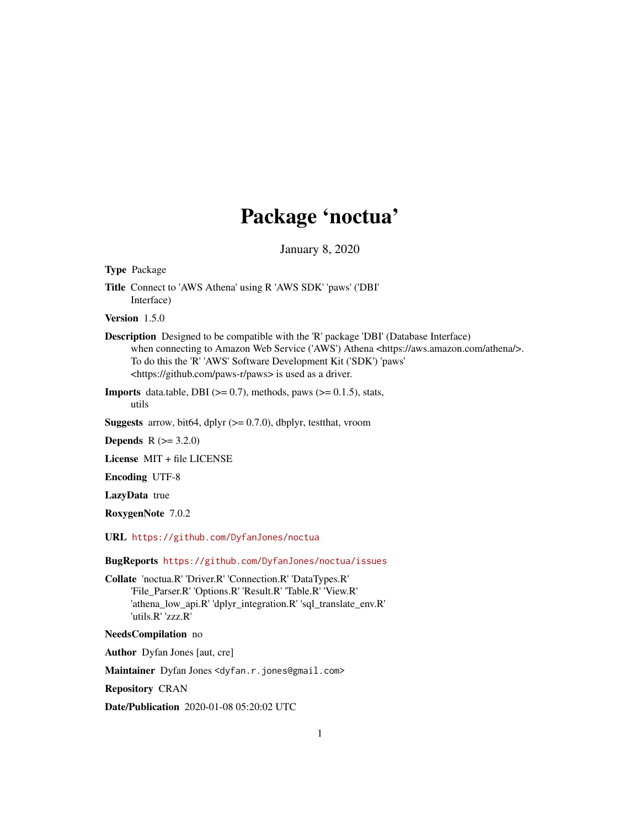# Package 'noctua'

January 8, 2020

<span id="page-0-0"></span>Type Package

Title Connect to 'AWS Athena' using R 'AWS SDK' 'paws' ('DBI' Interface)

Version 1.5.0

Description Designed to be compatible with the 'R' package 'DBI' (Database Interface) when connecting to Amazon Web Service ('AWS') Athena <https://aws.amazon.com/athena/>. To do this the 'R' 'AWS' Software Development Kit ('SDK') 'paws' <https://github.com/paws-r/paws> is used as a driver.

**Imports** data.table, DBI ( $> = 0.7$ ), methods, paws ( $> = 0.1.5$ ), stats, utils

**Suggests** arrow, bit64, dplyr  $(>= 0.7.0)$ , dbplyr, testthat, vroom

**Depends**  $R (= 3.2.0)$ 

License MIT + file LICENSE

Encoding UTF-8

LazyData true

RoxygenNote 7.0.2

URL <https://github.com/DyfanJones/noctua>

BugReports <https://github.com/DyfanJones/noctua/issues>

Collate 'noctua.R' 'Driver.R' 'Connection.R' 'DataTypes.R' 'File\_Parser.R' 'Options.R' 'Result.R' 'Table.R' 'View.R' 'athena\_low\_api.R' 'dplyr\_integration.R' 'sql\_translate\_env.R' 'utils.R' 'zzz.R'

NeedsCompilation no

Author Dyfan Jones [aut, cre]

Maintainer Dyfan Jones <dyfan.r.jones@gmail.com>

Repository CRAN

Date/Publication 2020-01-08 05:20:02 UTC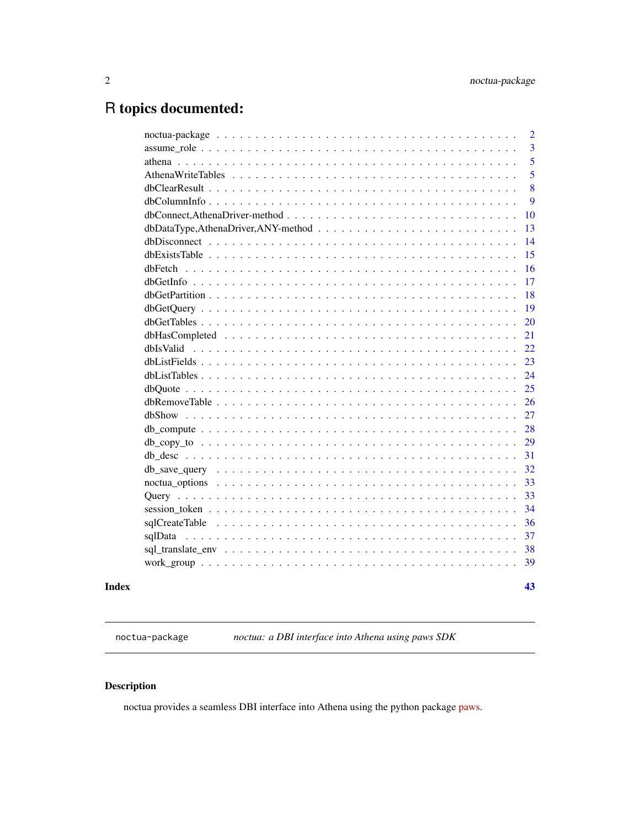# <span id="page-1-0"></span>R topics documented:

|       |                                                                                                                                               | $\overline{2}$ |
|-------|-----------------------------------------------------------------------------------------------------------------------------------------------|----------------|
|       |                                                                                                                                               | 3              |
|       |                                                                                                                                               | 5              |
|       |                                                                                                                                               | 5              |
|       |                                                                                                                                               | 8              |
|       |                                                                                                                                               | 9              |
|       | $dbConnect$ , AthenaDriver-method $\ldots$ , $\ldots$ , $\ldots$ , $\ldots$ , $\ldots$ , $\ldots$ , $\ldots$ , $\ldots$ , $\ldots$ , $\ldots$ | 10             |
|       |                                                                                                                                               | 13             |
|       |                                                                                                                                               | 14             |
|       |                                                                                                                                               | 15             |
|       | dbFetch                                                                                                                                       | 16             |
|       |                                                                                                                                               | 17             |
|       |                                                                                                                                               | 18             |
|       |                                                                                                                                               | 19             |
|       |                                                                                                                                               | 20             |
|       |                                                                                                                                               | 21             |
|       |                                                                                                                                               | 22             |
|       |                                                                                                                                               | 23             |
|       |                                                                                                                                               | 24             |
|       |                                                                                                                                               | 25             |
|       |                                                                                                                                               | 26             |
|       |                                                                                                                                               | 27             |
|       |                                                                                                                                               | 28             |
|       |                                                                                                                                               | 29             |
|       |                                                                                                                                               | 31             |
|       |                                                                                                                                               | 32             |
|       |                                                                                                                                               | 33             |
|       |                                                                                                                                               | 33             |
|       |                                                                                                                                               | 34             |
|       |                                                                                                                                               | 36             |
|       |                                                                                                                                               | 37             |
|       |                                                                                                                                               | 38             |
|       |                                                                                                                                               | 39             |
| Index |                                                                                                                                               | 43             |

noctua-package *noctua: a DBI interface into Athena using paws SDK*

# Description

noctua provides a seamless DBI interface into Athena using the python package [paws.](https://github.com/paws-r/paws)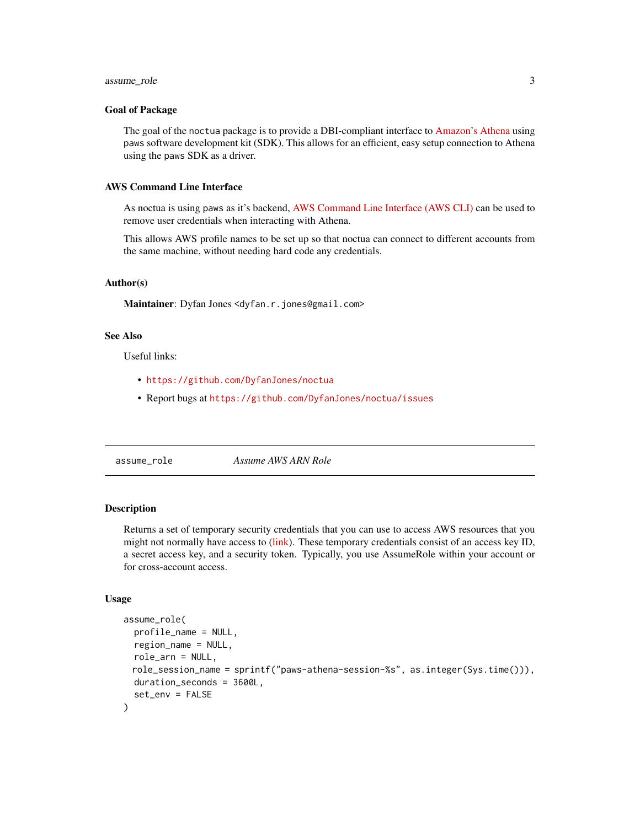# <span id="page-2-0"></span>assume\_role 3

#### Goal of Package

The goal of the noctua package is to provide a DBI-compliant interface to [Amazon's Athena](https://aws.amazon.com/athena/) using paws software development kit (SDK). This allows for an efficient, easy setup connection to Athena using the paws SDK as a driver.

#### AWS Command Line Interface

As noctua is using paws as it's backend, [AWS Command Line Interface \(AWS CLI\)](https://aws.amazon.com/cli/) can be used to remove user credentials when interacting with Athena.

This allows AWS profile names to be set up so that noctua can connect to different accounts from the same machine, without needing hard code any credentials.

#### Author(s)

Maintainer: Dyfan Jones <dyfan.r.jones@gmail.com>

#### See Also

Useful links:

- <https://github.com/DyfanJones/noctua>
- Report bugs at <https://github.com/DyfanJones/noctua/issues>

assume\_role *Assume AWS ARN Role*

#### Description

Returns a set of temporary security credentials that you can use to access AWS resources that you might not normally have access to [\(link\)](https://paws-r.github.io/docs/sts/assume_role.html). These temporary credentials consist of an access key ID, a secret access key, and a security token. Typically, you use AssumeRole within your account or for cross-account access.

#### Usage

```
assume_role(
 profile_name = NULL,
  region_name = NULL,
  role_arn = NULL,
 role_session_name = sprintf("paws-athena-session-%s", as.integer(Sys.time())),
 duration_seconds = 3600L,
  set_env = FALSE
)
```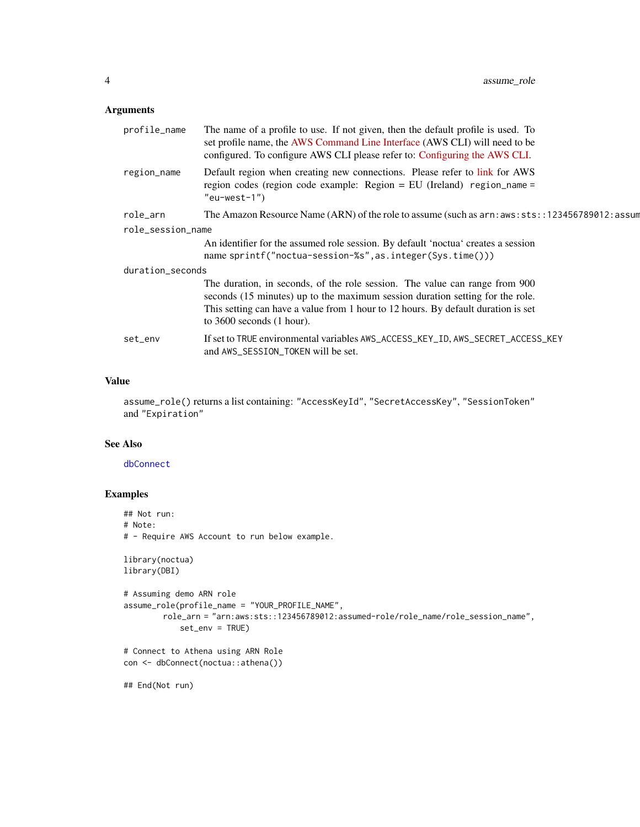# <span id="page-3-0"></span>Arguments

| profile_name      | The name of a profile to use. If not given, then the default profile is used. To<br>set profile name, the AWS Command Line Interface (AWS CLI) will need to be<br>configured. To configure AWS CLI please refer to: Configuring the AWS CLI.                                       |
|-------------------|------------------------------------------------------------------------------------------------------------------------------------------------------------------------------------------------------------------------------------------------------------------------------------|
| region_name       | Default region when creating new connections. Please refer to link for AWS<br>region codes (region code example: Region = EU (Ireland) region_name =<br>" $eu$ -west-1")                                                                                                           |
| role_arn          | The Amazon Resource Name (ARN) of the role to assume (such as $arn: aws:sts::123456789012:assum$                                                                                                                                                                                   |
| role_session_name |                                                                                                                                                                                                                                                                                    |
|                   | An identifier for the assumed role session. By default 'noctua' creates a session<br>name sprintf("noctua-session-%s", as.integer(Sys.time()))                                                                                                                                     |
| duration_seconds  |                                                                                                                                                                                                                                                                                    |
|                   | The duration, in seconds, of the role session. The value can range from 900<br>seconds (15 minutes) up to the maximum session duration setting for the role.<br>This setting can have a value from 1 hour to 12 hours. By default duration is set<br>to $3600$ seconds $(1$ hour). |
| set_env           | If set to TRUE environmental variables AWS_ACCESS_KEY_ID, AWS_SECRET_ACCESS_KEY<br>and AWS_SESSION_TOKEN will be set.                                                                                                                                                              |
|                   |                                                                                                                                                                                                                                                                                    |

# Value

assume\_role() returns a list containing: "AccessKeyId", "SecretAccessKey", "SessionToken" and "Expiration"

# See Also

[dbConnect](#page-9-1)

# Examples

```
## Not run:
# Note:
# - Require AWS Account to run below example.
library(noctua)
library(DBI)
# Assuming demo ARN role
assume_role(profile_name = "YOUR_PROFILE_NAME",
        role_arn = "arn:aws:sts::123456789012:assumed-role/role_name/role_session_name",
            set_env = TRUE)
# Connect to Athena using ARN Role
con <- dbConnect(noctua::athena())
## End(Not run)
```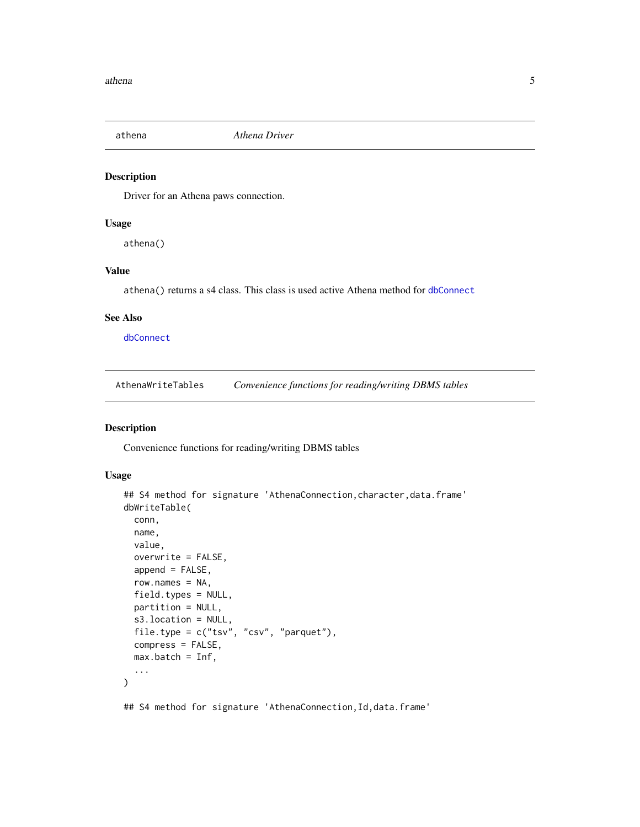<span id="page-4-0"></span>

#### Description

Driver for an Athena paws connection.

# Usage

athena()

# Value

athena() returns a s4 class. This class is used active Athena method for [dbConnect](#page-9-1)

#### See Also

[dbConnect](#page-9-1)

<span id="page-4-1"></span>AthenaWriteTables *Convenience functions for reading/writing DBMS tables*

# Description

Convenience functions for reading/writing DBMS tables

#### Usage

```
## S4 method for signature 'AthenaConnection, character, data.frame'
dbWriteTable(
  conn,
 name,
  value,
 overwrite = FALSE,
 append = FALSE,row.names = NA,
  field.types = NULL,
 partition = NULL,
  s3.location = NULL,
  file.type = c("tsv", "csv", "parquet"),
  compress = FALSE,
 max.batch = Inf,...
)
```
## S4 method for signature 'AthenaConnection, Id, data.frame'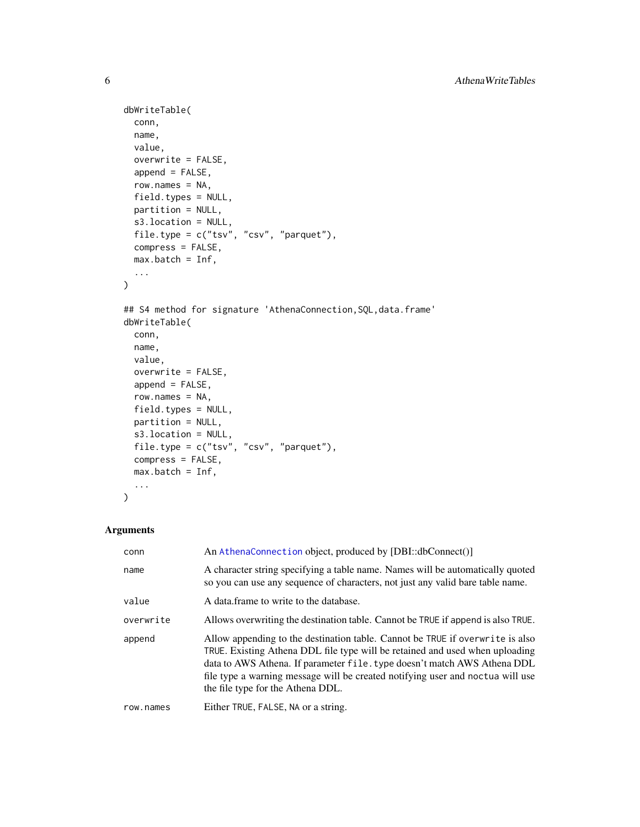```
dbWriteTable(
 conn,
 name,
 value,
 overwrite = FALSE,
 append = FALSE,row.names = NA,
 field.types = NULL,
 partition = NULL,
 s3.location = NULL,
 file.type = c("tsv", "csv", "parquet"),
 compress = FALSE,
 max.batch = Inf,...
)
## S4 method for signature 'AthenaConnection,SQL,data.frame'
dbWriteTable(
 conn,
 name,
 value,
 overwrite = FALSE,
 append = FALSE,
 row.names = NA,
 field.types = NULL,
 partition = NULL,
 s3.location = NULL,
 file.type = c("tsv", "csv", "parquet"),
 compress = FALSE,
```

```
)
```
...

 $max.batch = Inf,$ 

| conn      | An AthenaConnection object, produced by [DBI::dbConnect()]                                                                                                                                                                                                                                                                                                       |
|-----------|------------------------------------------------------------------------------------------------------------------------------------------------------------------------------------------------------------------------------------------------------------------------------------------------------------------------------------------------------------------|
| name      | A character string specifying a table name. Names will be automatically quoted<br>so you can use any sequence of characters, not just any valid bare table name.                                                                                                                                                                                                 |
| value     | A data frame to write to the database.                                                                                                                                                                                                                                                                                                                           |
| overwrite | Allows overwriting the destination table. Cannot be TRUE if append is also TRUE.                                                                                                                                                                                                                                                                                 |
| append    | Allow appending to the destination table. Cannot be TRUE if overwrite is also<br>TRUE. Existing Athena DDL file type will be retained and used when uploading<br>data to AWS Athena. If parameter file. type doesn't match AWS Athena DDL<br>file type a warning message will be created notifying user and noctua will use<br>the file type for the Athena DDL. |
| row.names | Either TRUE, FALSE, NA or a string.                                                                                                                                                                                                                                                                                                                              |

<span id="page-5-0"></span>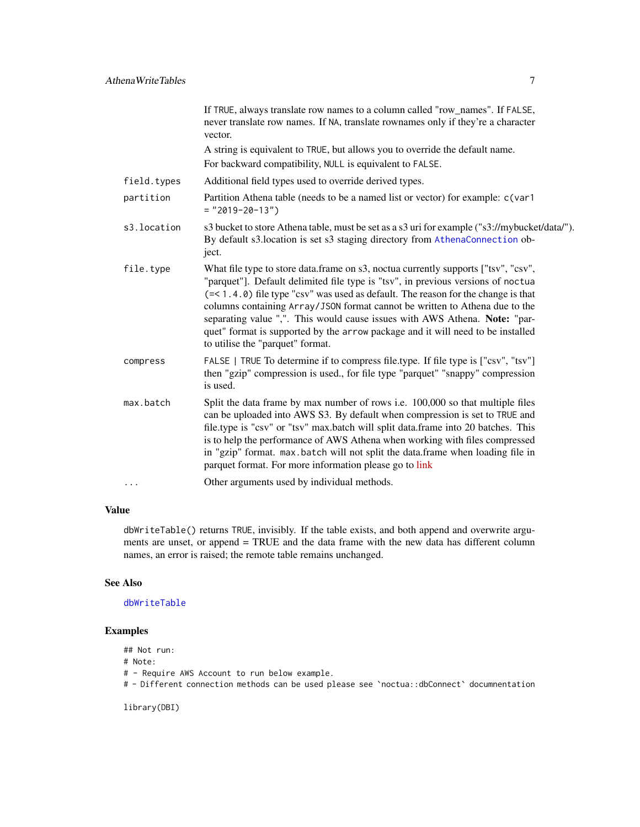<span id="page-6-0"></span>

|             | If TRUE, always translate row names to a column called "row_names". If FALSE,<br>never translate row names. If NA, translate rownames only if they're a character<br>vector.                                                                                                                                                                                                                                                                                                                                                                                    |
|-------------|-----------------------------------------------------------------------------------------------------------------------------------------------------------------------------------------------------------------------------------------------------------------------------------------------------------------------------------------------------------------------------------------------------------------------------------------------------------------------------------------------------------------------------------------------------------------|
|             | A string is equivalent to TRUE, but allows you to override the default name.                                                                                                                                                                                                                                                                                                                                                                                                                                                                                    |
|             | For backward compatibility, NULL is equivalent to FALSE.                                                                                                                                                                                                                                                                                                                                                                                                                                                                                                        |
| field.types | Additional field types used to override derived types.                                                                                                                                                                                                                                                                                                                                                                                                                                                                                                          |
| partition   | Partition Athena table (needs to be a named list or vector) for example: c(var1<br>$=$ "2019-20-13")                                                                                                                                                                                                                                                                                                                                                                                                                                                            |
| s3.location | s3 bucket to store Athena table, must be set as a s3 uri for example ("s3://mybucket/data/").<br>By default s3.location is set s3 staging directory from AthenaConnection ob-<br>ject.                                                                                                                                                                                                                                                                                                                                                                          |
| file.type   | What file type to store data.frame on s3, noctua currently supports ["tsv", "csv",<br>"parquet"]. Default delimited file type is "tsv", in previous versions of noctua<br>$(=\langle 1.4.0 \rangle)$ file type "csv" was used as default. The reason for the change is that<br>columns containing Array/JSON format cannot be written to Athena due to the<br>separating value ",". This would cause issues with AWS Athena. Note: "par-<br>quet" format is supported by the arrow package and it will need to be installed<br>to utilise the "parquet" format. |
| compress    | FALSE   TRUE To determine if to compress file.type. If file type is ["csv", "tsv"]<br>then "gzip" compression is used., for file type "parquet" "snappy" compression<br>is used.                                                                                                                                                                                                                                                                                                                                                                                |
| max.batch   | Split the data frame by max number of rows i.e. 100,000 so that multiple files<br>can be uploaded into AWS S3. By default when compression is set to TRUE and<br>file.type is "csv" or "tsv" max.batch will split data.frame into 20 batches. This<br>is to help the performance of AWS Athena when working with files compressed<br>in "gzip" format. max.batch will not split the data.frame when loading file in<br>parquet format. For more information please go to link                                                                                   |
| $\cdots$    | Other arguments used by individual methods.                                                                                                                                                                                                                                                                                                                                                                                                                                                                                                                     |

# Value

dbWriteTable() returns TRUE, invisibly. If the table exists, and both append and overwrite arguments are unset, or append = TRUE and the data frame with the new data has different column names, an error is raised; the remote table remains unchanged.

# See Also

[dbWriteTable](#page-0-0)

#### Examples

```
## Not run:
```
# Note:

# - Require AWS Account to run below example.

# - Different connection methods can be used please see `noctua::dbConnect` documnentation

library(DBI)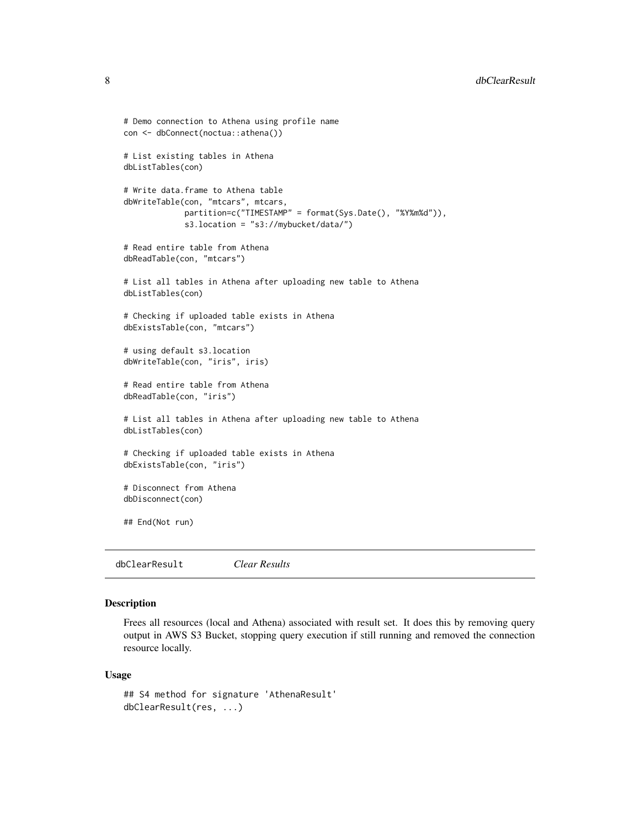```
# Demo connection to Athena using profile name
con <- dbConnect(noctua::athena())
# List existing tables in Athena
dbListTables(con)
# Write data.frame to Athena table
dbWriteTable(con, "mtcars", mtcars,
             partition=c("TIMESTAMP" = format(Sys.Date(), "%Y%m%d")),
             s3.location = "s3://mybucket/data/")
# Read entire table from Athena
dbReadTable(con, "mtcars")
# List all tables in Athena after uploading new table to Athena
dbListTables(con)
# Checking if uploaded table exists in Athena
dbExistsTable(con, "mtcars")
# using default s3.location
dbWriteTable(con, "iris", iris)
# Read entire table from Athena
dbReadTable(con, "iris")
# List all tables in Athena after uploading new table to Athena
dbListTables(con)
# Checking if uploaded table exists in Athena
dbExistsTable(con, "iris")
# Disconnect from Athena
dbDisconnect(con)
## End(Not run)
```

```
dbClearResult Clear Results
```
#### Description

Frees all resources (local and Athena) associated with result set. It does this by removing query output in AWS S3 Bucket, stopping query execution if still running and removed the connection resource locally.

#### Usage

```
## S4 method for signature 'AthenaResult'
dbClearResult(res, ...)
```
<span id="page-7-0"></span>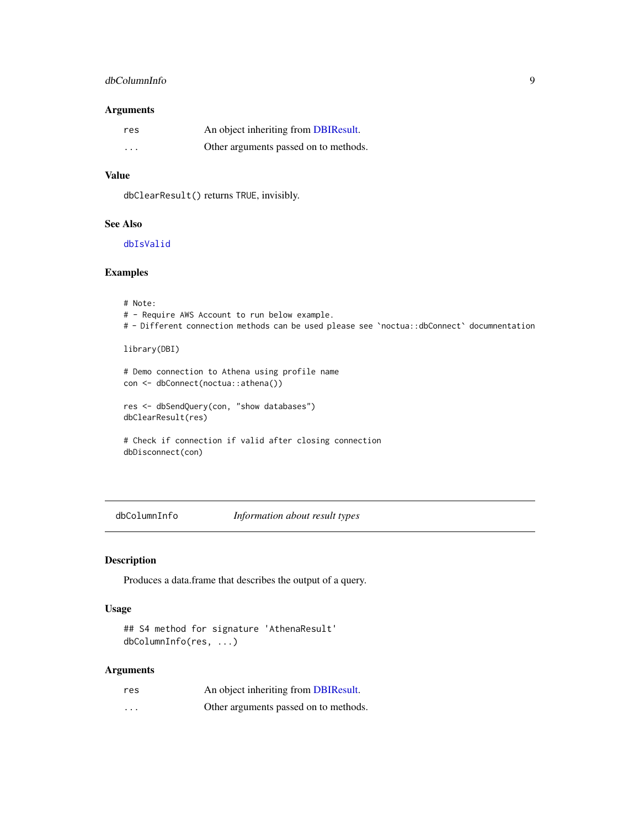### <span id="page-8-0"></span>dbColumnInfo 9

#### Arguments

| res      | An object inheriting from DBIResult.  |
|----------|---------------------------------------|
| $\cdots$ | Other arguments passed on to methods. |

# Value

dbClearResult() returns TRUE, invisibly.

#### See Also

[dbIsValid](#page-21-1)

# Examples

```
# Note:
# - Require AWS Account to run below example.
# - Different connection methods can be used please see `noctua::dbConnect` documnentation
library(DBI)
# Demo connection to Athena using profile name
con <- dbConnect(noctua::athena())
res <- dbSendQuery(con, "show databases")
dbClearResult(res)
# Check if connection if valid after closing connection
dbDisconnect(con)
```
dbColumnInfo *Information about result types*

# Description

Produces a data.frame that describes the output of a query.

#### Usage

```
## S4 method for signature 'AthenaResult'
dbColumnInfo(res, ...)
```

| res      | An object inheriting from DBIResult.  |
|----------|---------------------------------------|
| $\cdots$ | Other arguments passed on to methods. |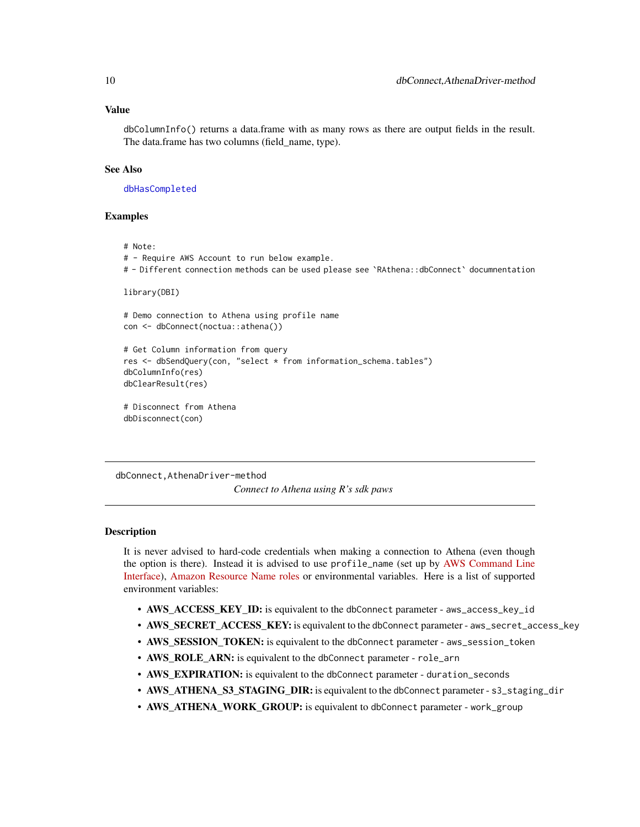#### <span id="page-9-0"></span>Value

dbColumnInfo() returns a data.frame with as many rows as there are output fields in the result. The data.frame has two columns (field\_name, type).

#### See Also

[dbHasCompleted](#page-20-1)

# Examples

```
# Note:
# - Require AWS Account to run below example.
# - Different connection methods can be used please see `RAthena::dbConnect` documnentation
library(DBI)
# Demo connection to Athena using profile name
con <- dbConnect(noctua::athena())
# Get Column information from query
res <- dbSendQuery(con, "select * from information_schema.tables")
dbColumnInfo(res)
dbClearResult(res)
# Disconnect from Athena
dbDisconnect(con)
```
dbConnect,AthenaDriver-method

*Connect to Athena using R's sdk paws*

#### <span id="page-9-1"></span>Description

It is never advised to hard-code credentials when making a connection to Athena (even though the option is there). Instead it is advised to use profile\_name (set up by [AWS Command Line](https://aws.amazon.com/cli/) [Interface\)](https://aws.amazon.com/cli/), [Amazon Resource Name roles](https://docs.aws.amazon.com/general/latest/gr/aws-arns-and-namespaces.html) or environmental variables. Here is a list of supported environment variables:

- AWS\_ACCESS\_KEY\_ID: is equivalent to the dbConnect parameter aws\_access\_key\_id
- AWS\_SECRET\_ACCESS\_KEY: is equivalent to the dbConnect parameter aws\_secret\_access\_key
- AWS\_SESSION\_TOKEN: is equivalent to the dbConnect parameter aws\_session\_token
- AWS\_ROLE\_ARN: is equivalent to the dbConnect parameter role\_arn
- AWS\_EXPIRATION: is equivalent to the dbConnect parameter duration\_seconds
- AWS\_ATHENA\_S3\_STAGING\_DIR: is equivalent to the dbConnect parameter s3\_staging\_dir
- AWS\_ATHENA\_WORK\_GROUP: is equivalent to dbConnect parameter work\_group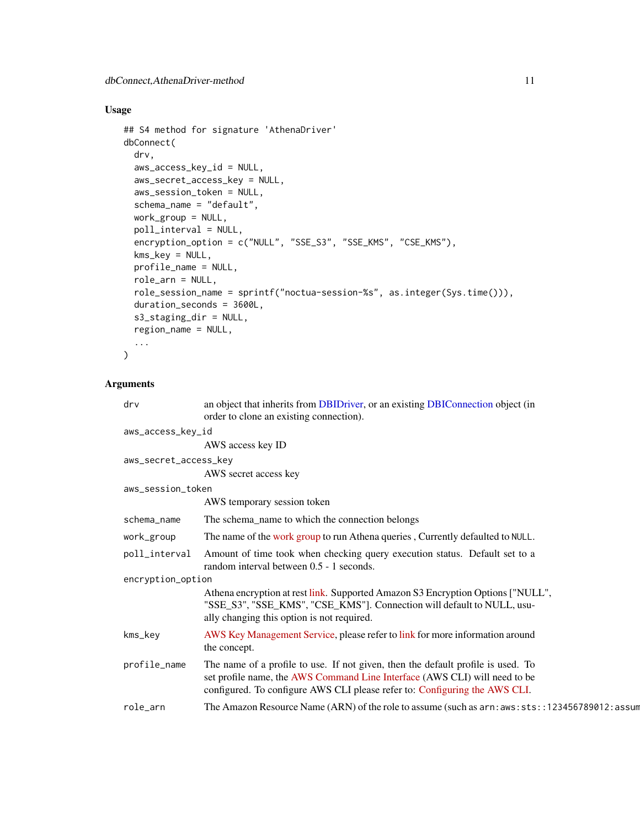# <span id="page-10-0"></span>Usage

```
## S4 method for signature 'AthenaDriver'
dbConnect(
 drv,
 aws_access_key_id = NULL,
 aws_secret_access_key = NULL,
 aws_session_token = NULL,
 schema_name = "default",
 work_group = NULL,
 poll_interval = NULL,
 encryption_option = c("NULL", "SSE_S3", "SSE_KMS", "CSE_KMS"),
 kms_key = NULL,
 profile_name = NULL,
 role_arn = NULL,
  role_session_name = sprintf("noctua-session-%s", as.integer(Sys.time())),
 duration_seconds = 3600L,
 s3_staging_dir = NULL,
 region_name = NULL,
  ...
)
```

| $\mathsf{d} \mathsf{r} \mathsf{v}$ | an object that inherits from DBIDriver, or an existing DBIConnection object (in<br>order to clone an existing connection).                                                                                                                   |
|------------------------------------|----------------------------------------------------------------------------------------------------------------------------------------------------------------------------------------------------------------------------------------------|
| aws_access_key_id                  |                                                                                                                                                                                                                                              |
|                                    | AWS access key ID                                                                                                                                                                                                                            |
| aws_secret_access_key              |                                                                                                                                                                                                                                              |
|                                    | AWS secret access key                                                                                                                                                                                                                        |
| aws_session_token                  |                                                                                                                                                                                                                                              |
|                                    | AWS temporary session token                                                                                                                                                                                                                  |
| schema_name                        | The schema <sub>n</sub> name to which the connection belongs                                                                                                                                                                                 |
| work_group                         | The name of the work group to run Athena queries, Currently defaulted to NULL.                                                                                                                                                               |
| poll_interval                      | Amount of time took when checking query execution status. Default set to a<br>random interval between 0.5 - 1 seconds.                                                                                                                       |
| encryption_option                  |                                                                                                                                                                                                                                              |
|                                    | Athena encryption at rest link. Supported Amazon S3 Encryption Options ["NULL",<br>"SSE_S3", "SSE_KMS", "CSE_KMS"]. Connection will default to NULL, usu-<br>ally changing this option is not required.                                      |
| kms_key                            | AWS Key Management Service, please refer to link for more information around<br>the concept.                                                                                                                                                 |
| profile_name                       | The name of a profile to use. If not given, then the default profile is used. To<br>set profile name, the AWS Command Line Interface (AWS CLI) will need to be<br>configured. To configure AWS CLI please refer to: Configuring the AWS CLI. |
| role_arn                           | The Amazon Resource Name (ARN) of the role to assume (such as $arn:aws:sts: : 123456789012:assum$                                                                                                                                            |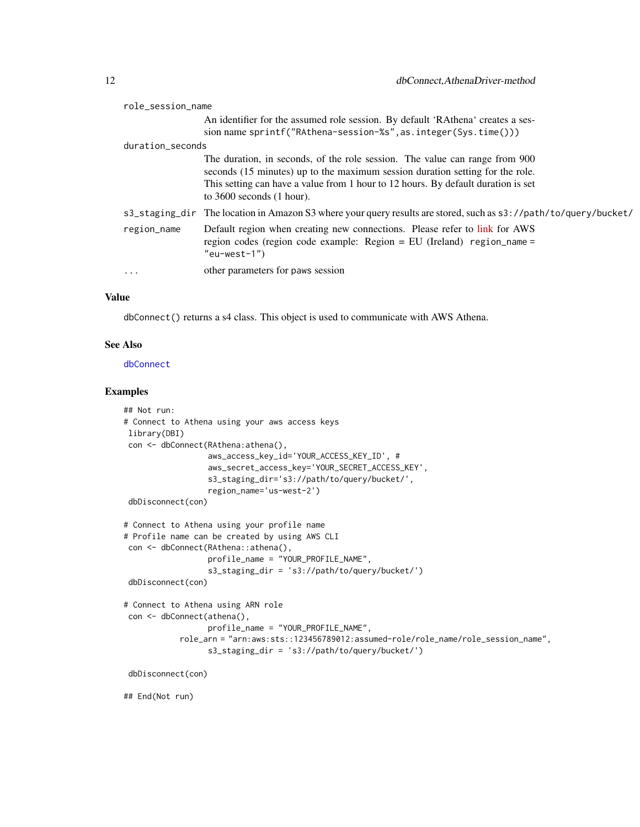<span id="page-11-0"></span>

| role_session_name                                                                                                |
|------------------------------------------------------------------------------------------------------------------|
| An identifier for the assumed role session. By default 'RAthena' creates a ses-                                  |
| sion name sprintf("RAthena-session-%s", as. integer(Sys.time()))                                                 |
| duration_seconds                                                                                                 |
| The duration, in seconds, of the role session. The value can range from 900                                      |
| seconds (15 minutes) up to the maximum session duration setting for the role.                                    |
| This setting can have a value from 1 hour to 12 hours. By default duration is set                                |
| to $3600$ seconds $(1$ hour).                                                                                    |
| s3_staging_dir The location in Amazon S3 where your query results are stored, such as s3://path/to/query/bucket/ |
| Default region when creating new connections. Please refer to link for AWS                                       |
| region codes (region code example: Region = EU (Ireland) region_name =                                           |
| " $eu$ -west-1")                                                                                                 |
| other parameters for paws session                                                                                |
|                                                                                                                  |

#### Value

dbConnect() returns a s4 class. This object is used to communicate with AWS Athena.

#### See Also

[dbConnect](#page-9-1)

# Examples

```
## Not run:
# Connect to Athena using your aws access keys
library(DBI)
con <- dbConnect(RAthena:athena(),
                  aws_access_key_id='YOUR_ACCESS_KEY_ID', #
                  aws_secret_access_key='YOUR_SECRET_ACCESS_KEY',
                  s3_staging_dir='s3://path/to/query/bucket/',
                  region_name='us-west-2')
dbDisconnect(con)
# Connect to Athena using your profile name
# Profile name can be created by using AWS CLI
con <- dbConnect(RAthena::athena(),
                 profile_name = "YOUR_PROFILE_NAME",
                  s3_staging_dir = 's3://path/to/query/bucket/')
dbDisconnect(con)
# Connect to Athena using ARN role
con <- dbConnect(athena(),
                 profile_name = "YOUR_PROFILE_NAME",
            role_arn = "arn:aws:sts::123456789012:assumed-role/role_name/role_session_name",
                 s3_staging_dir = 's3://path/to/query/bucket/')
dbDisconnect(con)
## End(Not run)
```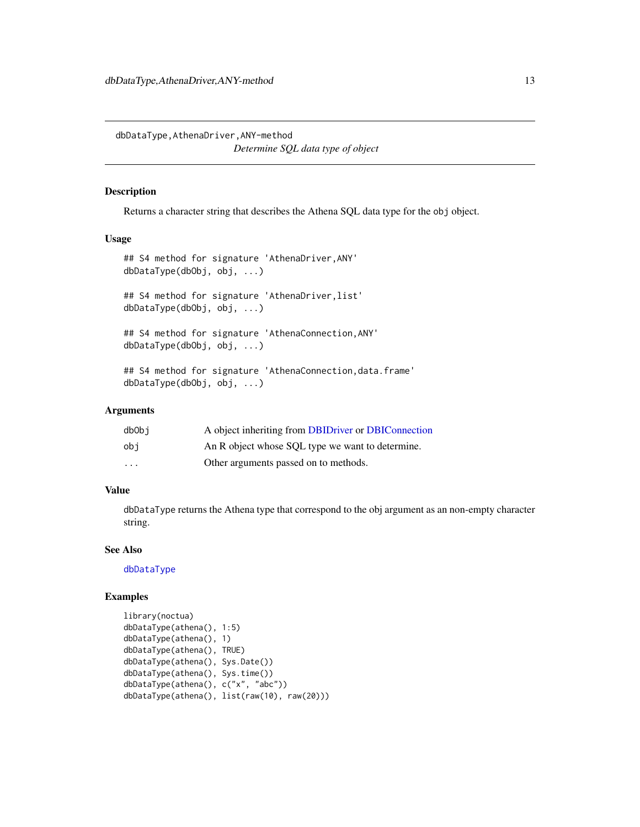<span id="page-12-0"></span>dbDataType,AthenaDriver,ANY-method *Determine SQL data type of object*

# <span id="page-12-1"></span>Description

Returns a character string that describes the Athena SQL data type for the obj object.

#### Usage

```
## S4 method for signature 'AthenaDriver,ANY'
dbDataType(dbObj, obj, ...)
## S4 method for signature 'AthenaDriver, list'
dbDataType(dbObj, obj, ...)
## S4 method for signature 'AthenaConnection,ANY'
dbDataType(dbObj, obj, ...)
## S4 method for signature 'AthenaConnection, data.frame'
dbDataType(dbObj, obj, ...)
```
# Arguments

| dbObi    | A object inheriting from DBIDriver or DBIConnection |
|----------|-----------------------------------------------------|
| obi      | An R object whose SQL type we want to determine.    |
| $\cdots$ | Other arguments passed on to methods.               |

#### Value

dbDataType returns the Athena type that correspond to the obj argument as an non-empty character string.

# See Also

[dbDataType](#page-12-1)

#### Examples

```
library(noctua)
dbDataType(athena(), 1:5)
dbDataType(athena(), 1)
dbDataType(athena(), TRUE)
dbDataType(athena(), Sys.Date())
dbDataType(athena(), Sys.time())
dbDataType(athena(), c("x", "abc"))
dbDataType(athena(), list(raw(10), raw(20)))
```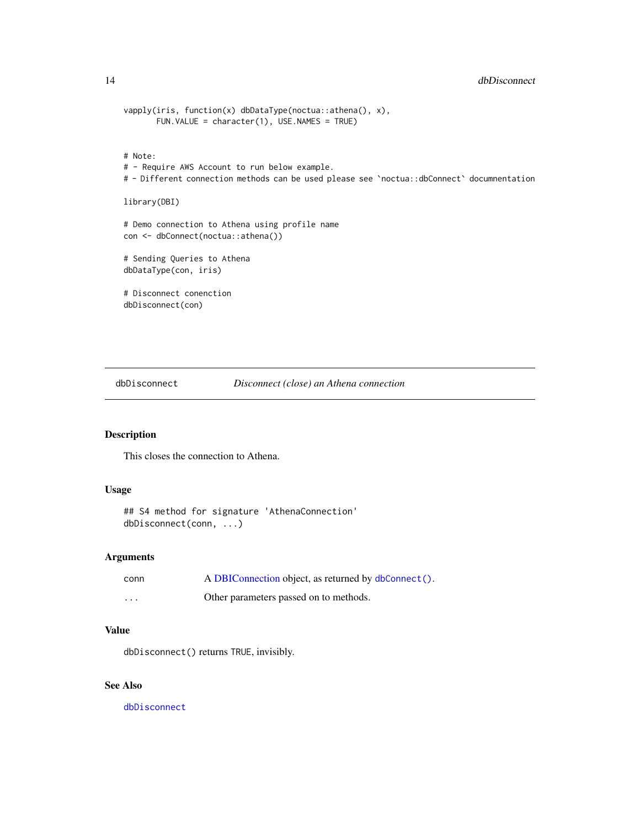<span id="page-13-0"></span>14 dbDisconnect and the dbDisconnect and the dbDisconnect dbDisconnect and the dbDisconnect and the dbDisconnect and the dbDisconnect and the dbDisconnect and the dbDisconnect and the dbDisconnect and the dbDisconnect and

```
vapply(iris, function(x) dbDataType(noctua::athena(), x),
       FUN.VALUE = character(1), USE.NAMES = TRUE)
# Note:
# - Require AWS Account to run below example.
# - Different connection methods can be used please see `noctua::dbConnect` documnentation
library(DBI)
# Demo connection to Athena using profile name
con <- dbConnect(noctua::athena())
# Sending Queries to Athena
dbDataType(con, iris)
# Disconnect conenction
dbDisconnect(con)
```
<span id="page-13-1"></span>dbDisconnect *Disconnect (close) an Athena connection*

# Description

This closes the connection to Athena.

# Usage

```
## S4 method for signature 'AthenaConnection'
dbDisconnect(conn, ...)
```
#### Arguments

| conn     | A DBIConnection object, as returned by dbConnect(). |
|----------|-----------------------------------------------------|
| $\cdots$ | Other parameters passed on to methods.              |

# Value

dbDisconnect() returns TRUE, invisibly.

# See Also

[dbDisconnect](#page-13-1)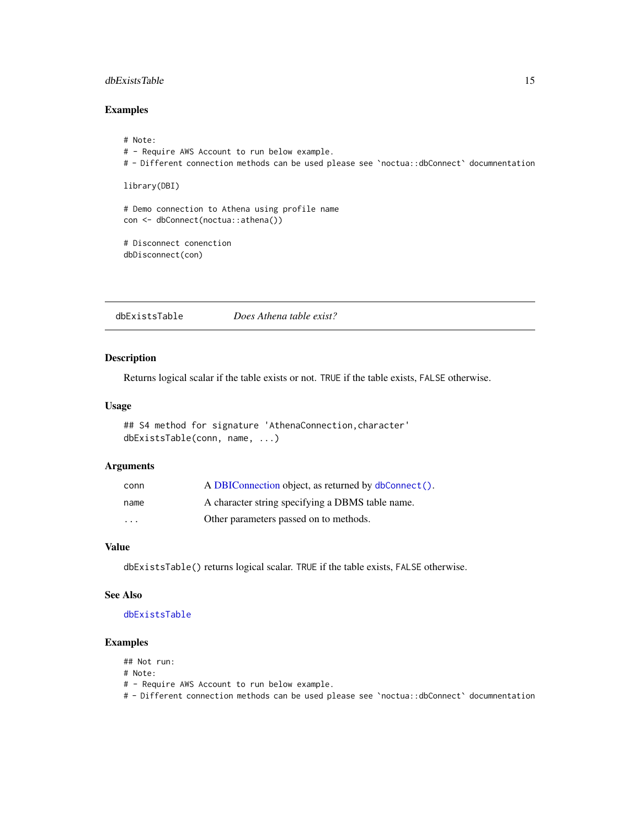### <span id="page-14-0"></span>dbExistsTable 15

# Examples

```
# Note:
# - Require AWS Account to run below example.
# - Different connection methods can be used please see `noctua::dbConnect` documnentation
library(DBI)
# Demo connection to Athena using profile name
con <- dbConnect(noctua::athena())
# Disconnect conenction
dbDisconnect(con)
```
<span id="page-14-1"></span>dbExistsTable *Does Athena table exist?*

# Description

Returns logical scalar if the table exists or not. TRUE if the table exists, FALSE otherwise.

#### Usage

```
## S4 method for signature 'AthenaConnection, character'
dbExistsTable(conn, name, ...)
```
# Arguments

| conn                    | A DBIConnection object, as returned by dbConnect(). |
|-------------------------|-----------------------------------------------------|
| name                    | A character string specifying a DBMS table name.    |
| $\cdot$ $\cdot$ $\cdot$ | Other parameters passed on to methods.              |

# Value

dbExistsTable() returns logical scalar. TRUE if the table exists, FALSE otherwise.

#### See Also

[dbExistsTable](#page-14-1)

# Examples

## Not run:

# Note:

# - Require AWS Account to run below example.

# - Different connection methods can be used please see `noctua::dbConnect` documnentation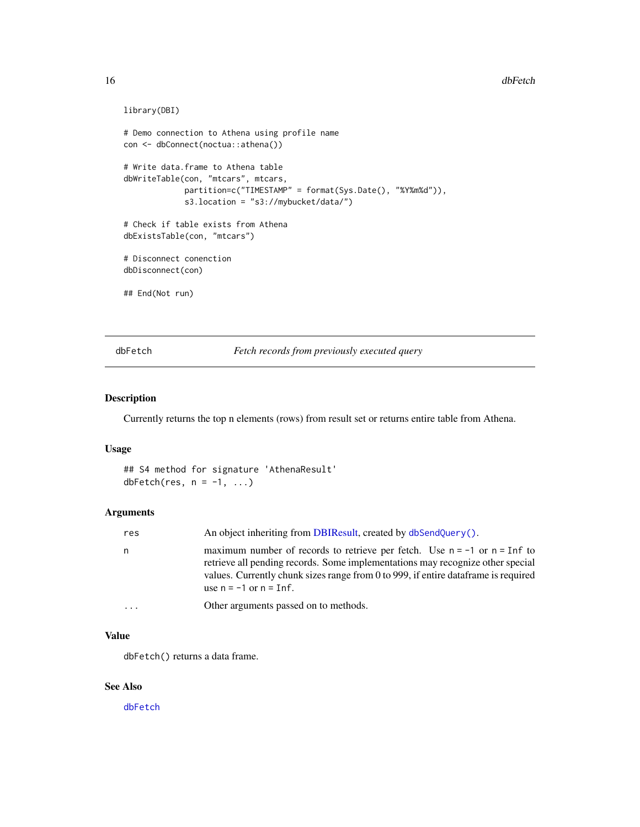#### <span id="page-15-0"></span>16 dbFetch

```
library(DBI)
# Demo connection to Athena using profile name
con <- dbConnect(noctua::athena())
# Write data.frame to Athena table
dbWriteTable(con, "mtcars", mtcars,
             partition=c("TIMESTAMP" = format(Sys.Date(), "%Y%m%d")),
             s3.location = "s3://mybucket/data/")
# Check if table exists from Athena
dbExistsTable(con, "mtcars")
# Disconnect conenction
dbDisconnect(con)
## End(Not run)
```
# <span id="page-15-1"></span>dbFetch *Fetch records from previously executed query*

#### Description

Currently returns the top n elements (rows) from result set or returns entire table from Athena.

#### Usage

```
## S4 method for signature 'AthenaResult'
dbFetch(res, n = -1, ...)
```
# Arguments

| res      | An object inheriting from DBIResult, created by dbSendQuery().                                                                                                                                                                                                                                     |
|----------|----------------------------------------------------------------------------------------------------------------------------------------------------------------------------------------------------------------------------------------------------------------------------------------------------|
| n        | maximum number of records to retrieve per fetch. Use $n = -1$ or $n = \text{Inf}$ to<br>retrieve all pending records. Some implementations may recognize other special<br>values. Currently chunk sizes range from 0 to 999, if entire data frame is required<br>use $n = -1$ or $n = \text{Inf.}$ |
| $\cdots$ | Other arguments passed on to methods.                                                                                                                                                                                                                                                              |

### Value

dbFetch() returns a data frame.

#### See Also

[dbFetch](#page-15-1)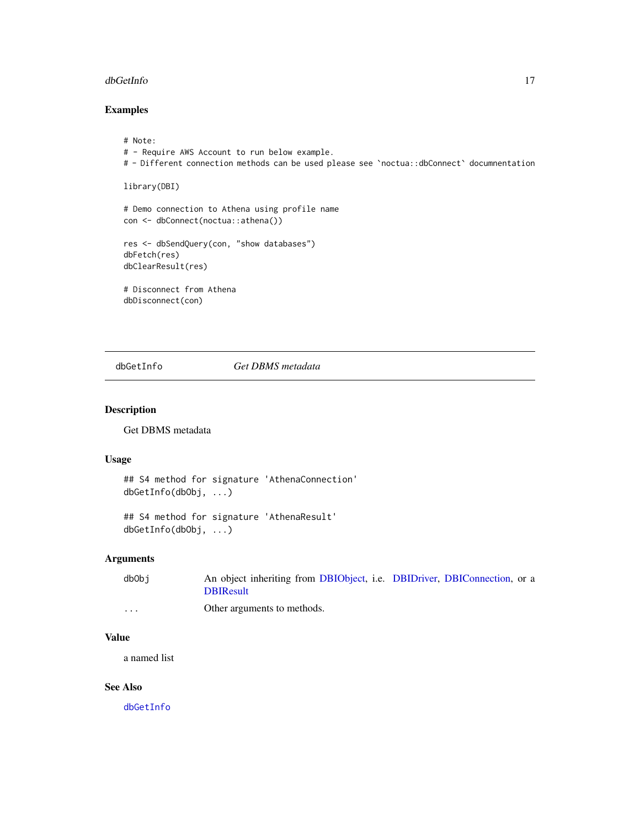#### <span id="page-16-0"></span>dbGetInfo 17

# Examples

```
# Note:
# - Require AWS Account to run below example.
# - Different connection methods can be used please see `noctua::dbConnect` documnentation
library(DBI)
# Demo connection to Athena using profile name
con <- dbConnect(noctua::athena())
res <- dbSendQuery(con, "show databases")
dbFetch(res)
dbClearResult(res)
# Disconnect from Athena
dbDisconnect(con)
```
<span id="page-16-1"></span>dbGetInfo *Get DBMS metadata*

#### Description

Get DBMS metadata

# Usage

```
## S4 method for signature 'AthenaConnection'
dbGetInfo(dbObj, ...)
```
## S4 method for signature 'AthenaResult' dbGetInfo(dbObj, ...)

#### Arguments

| dbObi    | An object inheriting from DBIObject, i.e. DBIDriver, DBIConnection, or a |  |  |
|----------|--------------------------------------------------------------------------|--|--|
|          | <b>DBIResult</b>                                                         |  |  |
| $\cdots$ | Other arguments to methods.                                              |  |  |

# Value

a named list

#### See Also

[dbGetInfo](#page-16-1)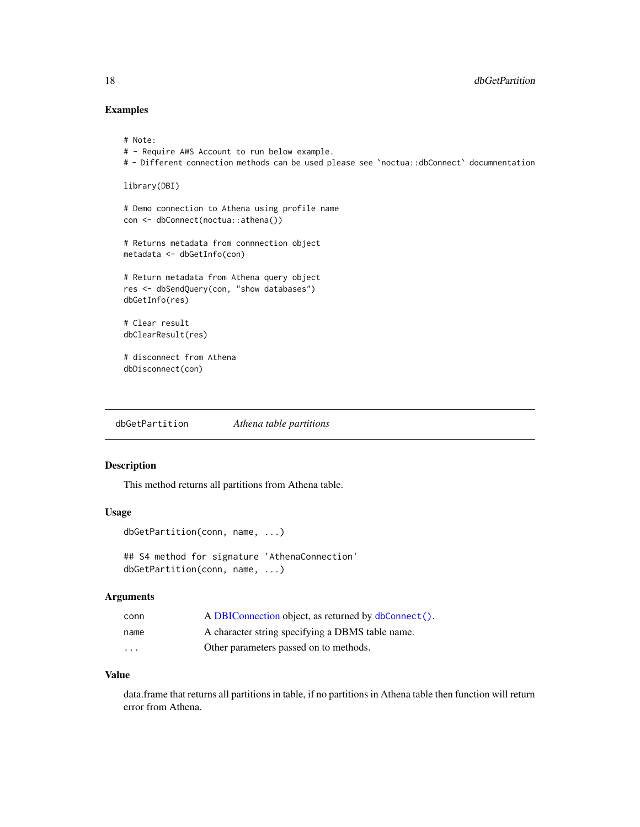# <span id="page-17-0"></span>Examples

```
# Note:
# - Require AWS Account to run below example.
# - Different connection methods can be used please see `noctua::dbConnect` documnentation
library(DBI)
# Demo connection to Athena using profile name
con <- dbConnect(noctua::athena())
# Returns metadata from connnection object
metadata <- dbGetInfo(con)
# Return metadata from Athena query object
res <- dbSendQuery(con, "show databases")
dbGetInfo(res)
# Clear result
dbClearResult(res)
# disconnect from Athena
dbDisconnect(con)
```
dbGetPartition *Athena table partitions*

# Description

This method returns all partitions from Athena table.

# Usage

```
dbGetPartition(conn, name, ...)
```
## S4 method for signature 'AthenaConnection' dbGetPartition(conn, name, ...)

# Arguments

| conn                    | A DBIConnection object, as returned by dbConnect(). |
|-------------------------|-----------------------------------------------------|
| name                    | A character string specifying a DBMS table name.    |
| $\cdot$ $\cdot$ $\cdot$ | Other parameters passed on to methods.              |

# Value

data.frame that returns all partitions in table, if no partitions in Athena table then function will return error from Athena.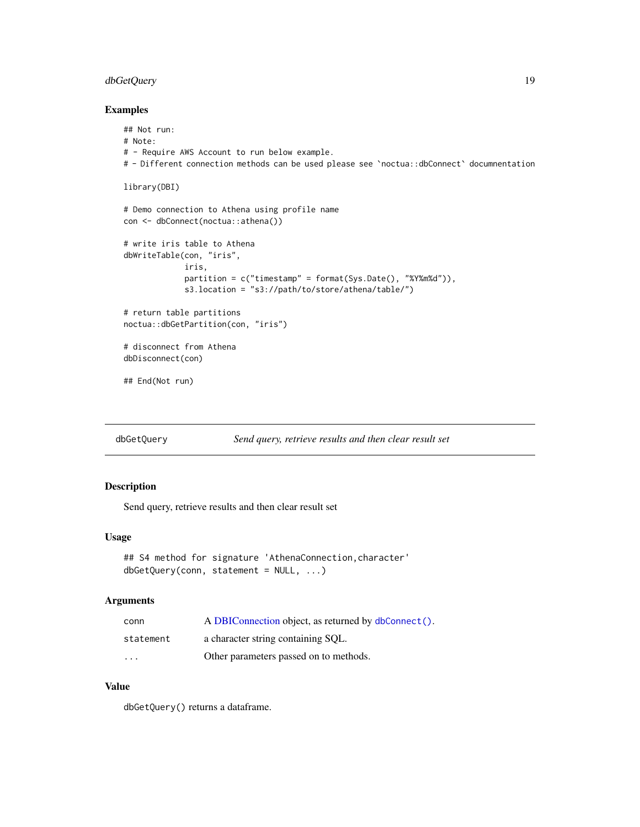# <span id="page-18-0"></span>dbGetQuery 19

# Examples

```
## Not run:
# Note:
# - Require AWS Account to run below example.
# - Different connection methods can be used please see `noctua::dbConnect` documnentation
library(DBI)
# Demo connection to Athena using profile name
con <- dbConnect(noctua::athena())
# write iris table to Athena
dbWriteTable(con, "iris",
             iris,
             partition = c("timestamp" = format(Sys.Date(), "%Y%m%d")),
             s3.location = "s3://path/to/store/athena/table/")
# return table partitions
noctua::dbGetPartition(con, "iris")
# disconnect from Athena
dbDisconnect(con)
## End(Not run)
```
<span id="page-18-1"></span>

| dbGetQuery |  |  |  | Send query, retrieve results and then clear result set |
|------------|--|--|--|--------------------------------------------------------|
|------------|--|--|--|--------------------------------------------------------|

# Description

Send query, retrieve results and then clear result set

#### Usage

```
## S4 method for signature 'AthenaConnection, character'
dbGetQuery(conn, statement = NULL, ...)
```
#### Arguments

| conn                    | A DBIConnection object, as returned by dbConnect(). |
|-------------------------|-----------------------------------------------------|
| statement               | a character string containing SQL.                  |
| $\cdot$ $\cdot$ $\cdot$ | Other parameters passed on to methods.              |

#### Value

dbGetQuery() returns a dataframe.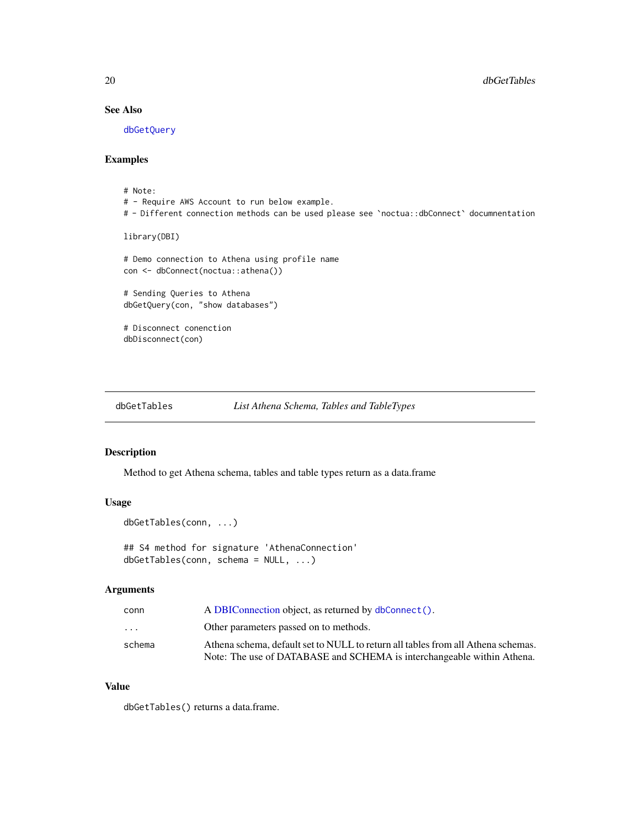# See Also

[dbGetQuery](#page-18-1)

#### Examples

# Note: # - Require AWS Account to run below example. # - Different connection methods can be used please see `noctua::dbConnect` documnentation library(DBI) # Demo connection to Athena using profile name con <- dbConnect(noctua::athena()) # Sending Queries to Athena dbGetQuery(con, "show databases")

```
# Disconnect conenction
dbDisconnect(con)
```

```
dbGetTables List Athena Schema, Tables and TableTypes
```
#### Description

Method to get Athena schema, tables and table types return as a data.frame

#### Usage

```
dbGetTables(conn, ...)
```
## S4 method for signature 'AthenaConnection' dbGetTables(conn, schema = NULL, ...)

#### Arguments

| conn                    | A DBIConnection object, as returned by dbConnect().                              |
|-------------------------|----------------------------------------------------------------------------------|
| $\cdot$ $\cdot$ $\cdot$ | Other parameters passed on to methods.                                           |
| schema                  | Athena schema, default set to NULL to return all tables from all Athena schemas. |
|                         | Note: The use of DATABASE and SCHEMA is interchangeable within Athena.           |

#### Value

dbGetTables() returns a data.frame.

<span id="page-19-0"></span>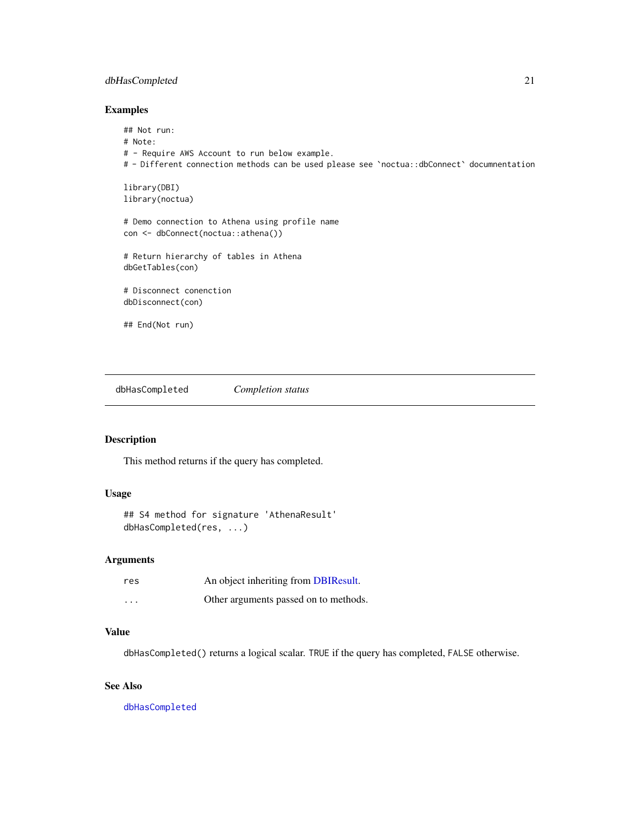# <span id="page-20-0"></span>dbHasCompleted 21

# Examples

```
## Not run:
# Note:
# - Require AWS Account to run below example.
# - Different connection methods can be used please see `noctua::dbConnect` documnentation
library(DBI)
library(noctua)
# Demo connection to Athena using profile name
con <- dbConnect(noctua::athena())
# Return hierarchy of tables in Athena
dbGetTables(con)
# Disconnect conenction
dbDisconnect(con)
## End(Not run)
```
<span id="page-20-1"></span>dbHasCompleted *Completion status*

# Description

This method returns if the query has completed.

# Usage

```
## S4 method for signature 'AthenaResult'
dbHasCompleted(res, ...)
```
#### Arguments

| res      | An object inheriting from DBIResult.  |
|----------|---------------------------------------|
| $\cdots$ | Other arguments passed on to methods. |

# Value

dbHasCompleted() returns a logical scalar. TRUE if the query has completed, FALSE otherwise.

# See Also

[dbHasCompleted](#page-20-1)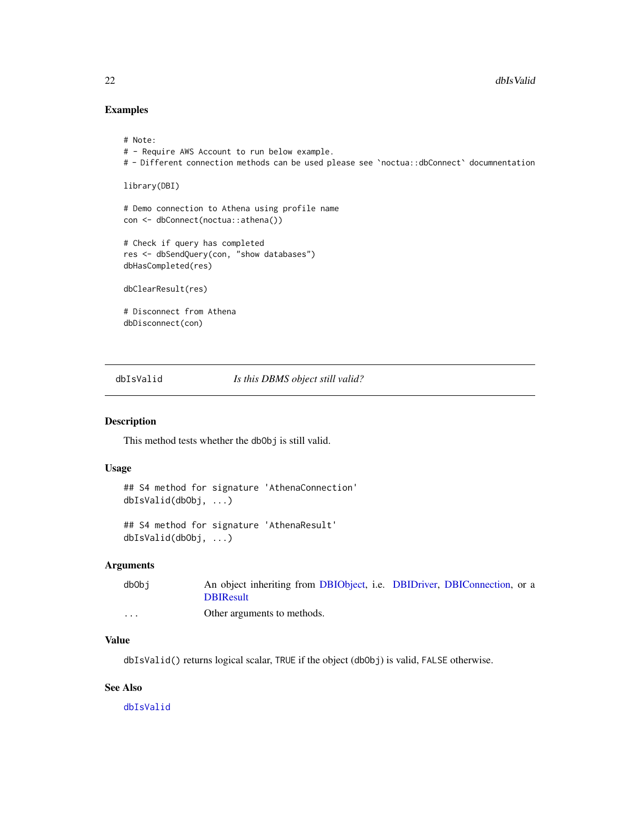# <span id="page-21-0"></span>Examples

```
# Note:
# - Require AWS Account to run below example.
# - Different connection methods can be used please see `noctua::dbConnect` documnentation
library(DBI)
# Demo connection to Athena using profile name
con <- dbConnect(noctua::athena())
# Check if query has completed
res <- dbSendQuery(con, "show databases")
dbHasCompleted(res)
dbClearResult(res)
# Disconnect from Athena
dbDisconnect(con)
```
<span id="page-21-1"></span>dbIsValid *Is this DBMS object still valid?*

#### Description

This method tests whether the dbObj is still valid.

# Usage

```
## S4 method for signature 'AthenaConnection'
dbIsValid(dbObj, ...)
```

```
## S4 method for signature 'AthenaResult'
dbIsValid(dbObj, ...)
```
#### Arguments

| dbObi    | An object inheriting from DBIObject, i.e. DBIDriver, DBIConnection, or a |  |  |
|----------|--------------------------------------------------------------------------|--|--|
|          | <b>DBIResult</b>                                                         |  |  |
| $\cdots$ | Other arguments to methods.                                              |  |  |

# Value

dbIsValid() returns logical scalar, TRUE if the object (dbObj) is valid, FALSE otherwise.

# See Also

[dbIsValid](#page-21-1)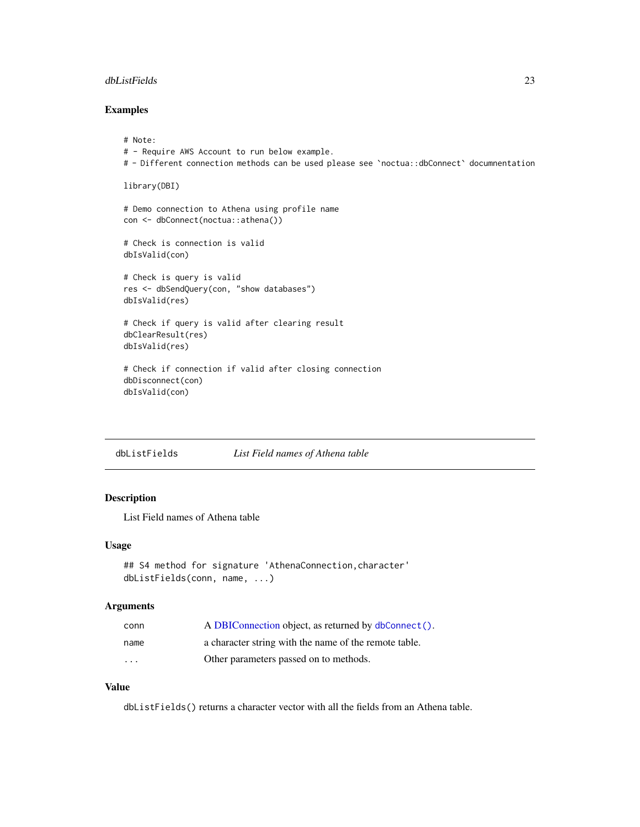#### <span id="page-22-0"></span>dbListFields 23

# Examples

```
# Note:
# - Require AWS Account to run below example.
# - Different connection methods can be used please see `noctua::dbConnect` documnentation
library(DBI)
# Demo connection to Athena using profile name
con <- dbConnect(noctua::athena())
# Check is connection is valid
dbIsValid(con)
# Check is query is valid
res <- dbSendQuery(con, "show databases")
dbIsValid(res)
# Check if query is valid after clearing result
dbClearResult(res)
dbIsValid(res)
# Check if connection if valid after closing connection
dbDisconnect(con)
dbIsValid(con)
```
<span id="page-22-1"></span>dbListFields *List Field names of Athena table*

# Description

List Field names of Athena table

#### Usage

```
## S4 method for signature 'AthenaConnection, character'
dbListFields(conn, name, ...)
```
#### Arguments

| conn                    | A DBIConnection object, as returned by dbConnect().   |
|-------------------------|-------------------------------------------------------|
| name                    | a character string with the name of the remote table. |
| $\cdot$ $\cdot$ $\cdot$ | Other parameters passed on to methods.                |

# Value

dbListFields() returns a character vector with all the fields from an Athena table.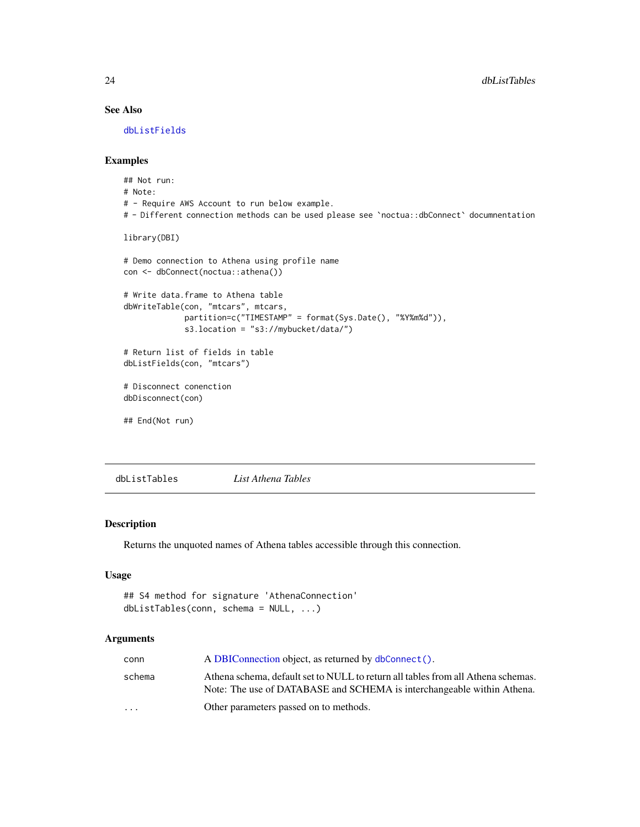# See Also

[dbListFields](#page-22-1)

# Examples

```
## Not run:
# Note:
# - Require AWS Account to run below example.
# - Different connection methods can be used please see `noctua::dbConnect` documnentation
library(DBI)
# Demo connection to Athena using profile name
con <- dbConnect(noctua::athena())
# Write data.frame to Athena table
dbWriteTable(con, "mtcars", mtcars,
             partition=c("TIMESTAMP" = format(Sys.Date(), "%Y%m%d")),
             s3.location = "s3://mybucket/data/")
# Return list of fields in table
dbListFields(con, "mtcars")
# Disconnect conenction
dbDisconnect(con)
## End(Not run)
```
<span id="page-23-1"></span>dbListTables *List Athena Tables*

# Description

Returns the unquoted names of Athena tables accessible through this connection.

# Usage

```
## S4 method for signature 'AthenaConnection'
dbListTables(conn, schema = NULL, ...)
```

| conn      | A DBIConnection object, as returned by dbConnect().                                                                                                        |
|-----------|------------------------------------------------------------------------------------------------------------------------------------------------------------|
| schema    | Athena schema, default set to NULL to return all tables from all Athena schemas.<br>Note: The use of DATABASE and SCHEMA is interchangeable within Athena. |
| $\ddotsc$ | Other parameters passed on to methods.                                                                                                                     |

<span id="page-23-0"></span>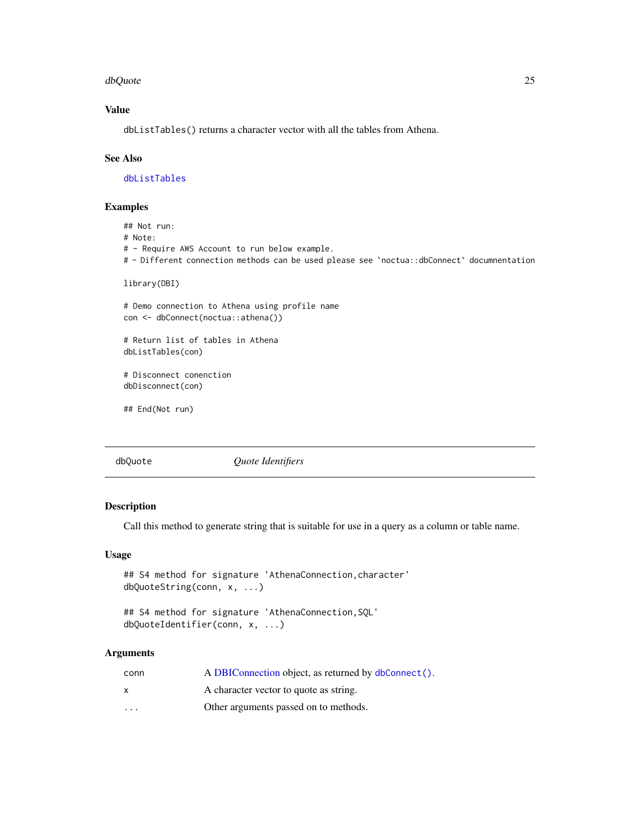#### <span id="page-24-0"></span>dbQuote 25

# Value

dbListTables() returns a character vector with all the tables from Athena.

# See Also

[dbListTables](#page-23-1)

# Examples

## Not run: # Note: # - Require AWS Account to run below example. # - Different connection methods can be used please see `noctua::dbConnect` documnentation library(DBI) # Demo connection to Athena using profile name con <- dbConnect(noctua::athena()) # Return list of tables in Athena dbListTables(con) # Disconnect conenction dbDisconnect(con) ## End(Not run)

dbQuote *Quote Identifiers*

# Description

Call this method to generate string that is suitable for use in a query as a column or table name.

# Usage

```
## S4 method for signature 'AthenaConnection, character'
dbQuoteString(conn, x, ...)
```

```
## S4 method for signature 'AthenaConnection,SQL'
dbQuoteIdentifier(conn, x, ...)
```

| conn                    | A DBIConnection object, as returned by dbConnect(). |
|-------------------------|-----------------------------------------------------|
| x                       | A character vector to quote as string.              |
| $\cdot$ $\cdot$ $\cdot$ | Other arguments passed on to methods.               |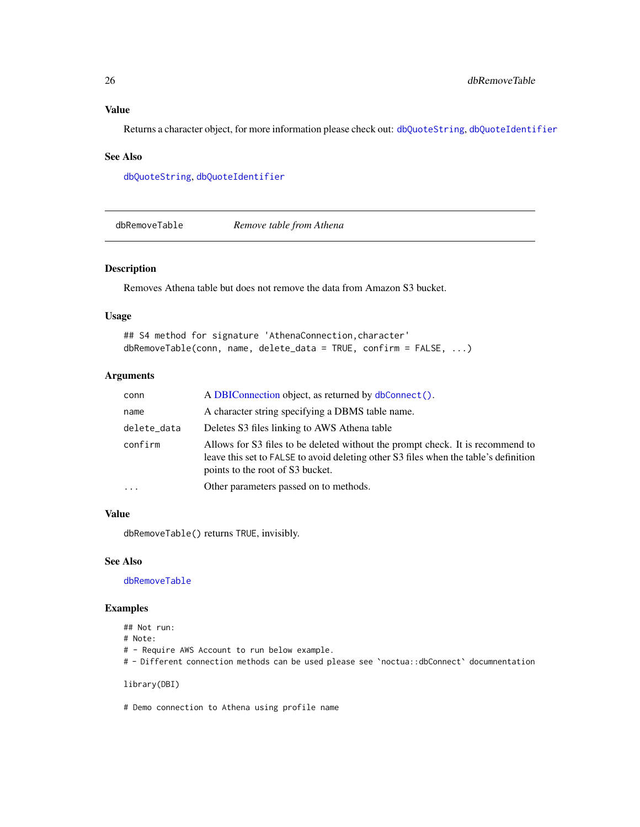<span id="page-25-0"></span>Returns a character object, for more information please check out: [dbQuoteString](#page-0-0), [dbQuoteIdentifier](#page-0-0)

#### See Also

[dbQuoteString](#page-0-0), [dbQuoteIdentifier](#page-0-0)

<span id="page-25-1"></span>dbRemoveTable *Remove table from Athena*

# Description

Removes Athena table but does not remove the data from Amazon S3 bucket.

# Usage

```
## S4 method for signature 'AthenaConnection, character'
dbRemoveTable(conn, name, delete_data = TRUE, confirm = FALSE, ...)
```
#### Arguments

| conn        | A DBIConnection object, as returned by dbConnect().                                                                                                                                                        |
|-------------|------------------------------------------------------------------------------------------------------------------------------------------------------------------------------------------------------------|
| name        | A character string specifying a DBMS table name.                                                                                                                                                           |
| delete_data | Deletes S3 files linking to AWS Athena table                                                                                                                                                               |
| confirm     | Allows for S3 files to be deleted without the prompt check. It is recommend to<br>leave this set to FALSE to avoid deleting other S3 files when the table's definition<br>points to the root of S3 bucket. |
| $\cdots$    | Other parameters passed on to methods.                                                                                                                                                                     |

#### Value

dbRemoveTable() returns TRUE, invisibly.

# See Also

[dbRemoveTable](#page-25-1)

# Examples

## Not run:

# Note:

- # Require AWS Account to run below example.
- # Different connection methods can be used please see `noctua::dbConnect` documnentation

library(DBI)

# Demo connection to Athena using profile name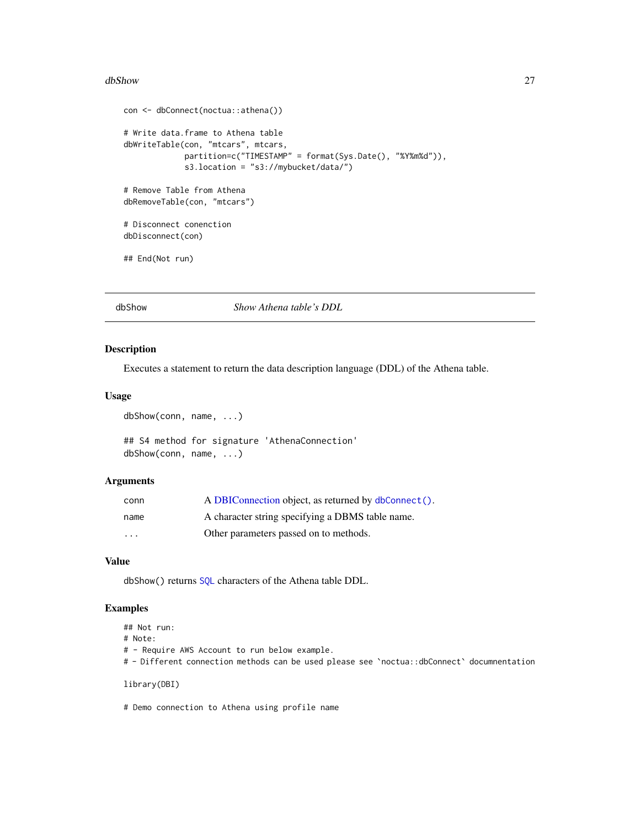#### <span id="page-26-0"></span>dbShow 27

```
con <- dbConnect(noctua::athena())
# Write data.frame to Athena table
dbWriteTable(con, "mtcars", mtcars,
             partition=c("TIMESTAMP" = format(Sys.Date(), "%Y%m%d")),
             s3.location = "s3://mybucket/data/")
# Remove Table from Athena
dbRemoveTable(con, "mtcars")
# Disconnect conenction
dbDisconnect(con)
## End(Not run)
```
dbShow *Show Athena table's DDL*

#### Description

Executes a statement to return the data description language (DDL) of the Athena table.

#### Usage

```
dbShow(conn, name, ...)
## S4 method for signature 'AthenaConnection'
dbShow(conn, name, ...)
```
#### Arguments

| conn                    | A DBIConnection object, as returned by dbConnect(). |
|-------------------------|-----------------------------------------------------|
| name                    | A character string specifying a DBMS table name.    |
| $\cdot$ $\cdot$ $\cdot$ | Other parameters passed on to methods.              |

#### Value

dbShow() returns [SQL](#page-0-0) characters of the Athena table DDL.

# Examples

```
## Not run:
```
# Note:

# - Require AWS Account to run below example.

# - Different connection methods can be used please see `noctua::dbConnect` documnentation

library(DBI)

# Demo connection to Athena using profile name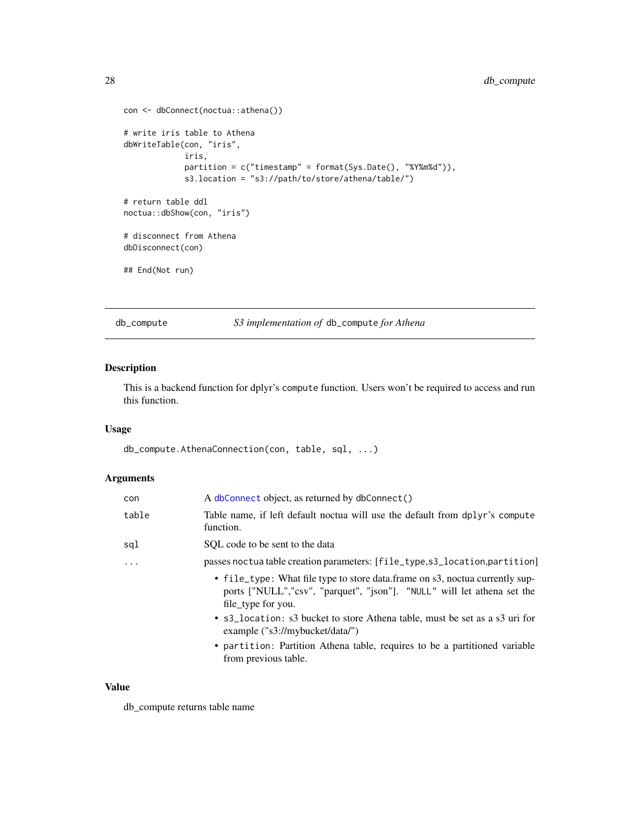```
con <- dbConnect(noctua::athena())
# write iris table to Athena
dbWriteTable(con, "iris",
             iris,
            partition = c("timestamp" = format(Sys.Date(), "%Y%m%d")),
            s3.location = "s3://path/to/store/athena/table/")
# return table ddl
noctua::dbShow(con, "iris")
# disconnect from Athena
dbDisconnect(con)
## End(Not run)
```
db\_compute *S3 implementation of* db\_compute *for Athena*

# Description

This is a backend function for dplyr's compute function. Users won't be required to access and run this function.

#### Usage

db\_compute.AthenaConnection(con, table, sql, ...)

#### Arguments

| con   | A dbConnect object, as returned by dbConnect()                                                                                                                                |  |  |  |  |
|-------|-------------------------------------------------------------------------------------------------------------------------------------------------------------------------------|--|--|--|--|
| table | Table name, if left default noctua will use the default from dplyr's compute<br>function.                                                                                     |  |  |  |  |
| sql   | SOL code to be sent to the data                                                                                                                                               |  |  |  |  |
| .     | passes noctua table creation parameters: [file_type,s3_location, partition]                                                                                                   |  |  |  |  |
|       | • file_type: What file type to store data.frame on s3, noctua currently sup-<br>ports ["NULL","csv", "parquet", "json"]. "NULL" will let athena set the<br>file type for you. |  |  |  |  |
|       | • s3_location: s3 bucket to store Athena table, must be set as a s3 uri for<br>example ("s3://mybucket/data/")                                                                |  |  |  |  |
|       | • partition: Partition Athena table, requires to be a partitioned variable<br>from previous table.                                                                            |  |  |  |  |

#### Value

db\_compute returns table name

<span id="page-27-0"></span>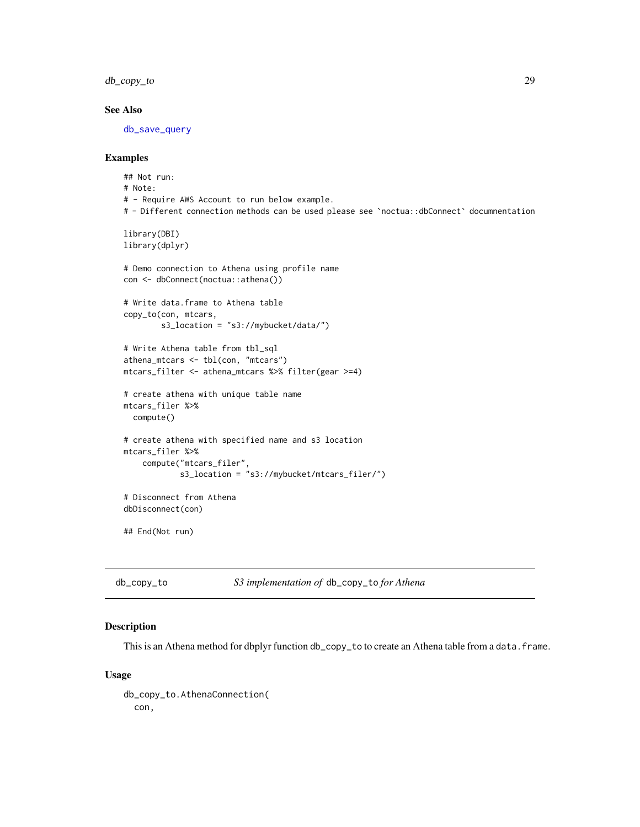<span id="page-28-0"></span>db\_copy\_to 29

# See Also

[db\\_save\\_query](#page-31-1)

#### Examples

```
## Not run:
# Note:
# - Require AWS Account to run below example.
# - Different connection methods can be used please see `noctua::dbConnect` documnentation
library(DBI)
library(dplyr)
# Demo connection to Athena using profile name
con <- dbConnect(noctua::athena())
# Write data.frame to Athena table
copy_to(con, mtcars,
        s3_location = "s3://mybucket/data/")
# Write Athena table from tbl_sql
athena_mtcars <- tbl(con, "mtcars")
mtcars_filter <- athena_mtcars %>% filter(gear >=4)
# create athena with unique table name
mtcars_filer %>%
  compute()
# create athena with specified name and s3 location
mtcars_filer %>%
    compute("mtcars_filer",
            s3_location = "s3://mybucket/mtcars_filer/")
# Disconnect from Athena
dbDisconnect(con)
## End(Not run)
```
db\_copy\_to *S3 implementation of* db\_copy\_to *for Athena*

# Description

This is an Athena method for dbplyr function db\_copy\_to to create an Athena table from a data. frame.

#### Usage

db\_copy\_to.AthenaConnection( con,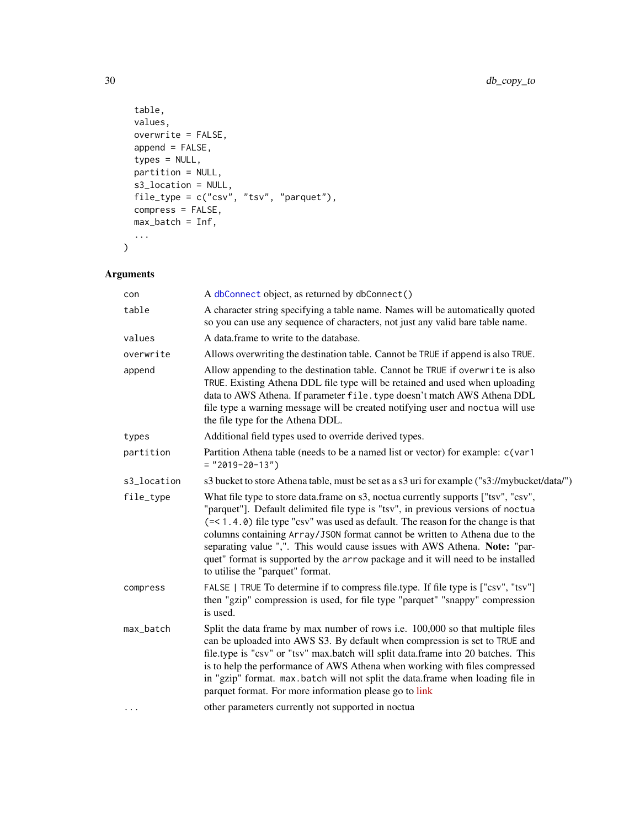```
table,
 values,
 overwrite = FALSE,
 append = FALSE,
 types = NULL,partition = NULL,
 s3_location = NULL,
 file_type = c("csv", "tsv", "parquet"),
 compress = FALSE,
 max_batch = Inf,
  ...
\mathcal{L}
```

| con         | A dbConnect object, as returned by dbConnect()                                                                                                                                                                                                                                                                                                                                                                                                                                                                                                                  |  |  |  |  |
|-------------|-----------------------------------------------------------------------------------------------------------------------------------------------------------------------------------------------------------------------------------------------------------------------------------------------------------------------------------------------------------------------------------------------------------------------------------------------------------------------------------------------------------------------------------------------------------------|--|--|--|--|
| table       | A character string specifying a table name. Names will be automatically quoted<br>so you can use any sequence of characters, not just any valid bare table name.                                                                                                                                                                                                                                                                                                                                                                                                |  |  |  |  |
| values      | A data.frame to write to the database.                                                                                                                                                                                                                                                                                                                                                                                                                                                                                                                          |  |  |  |  |
| overwrite   | Allows overwriting the destination table. Cannot be TRUE if append is also TRUE.                                                                                                                                                                                                                                                                                                                                                                                                                                                                                |  |  |  |  |
| append      | Allow appending to the destination table. Cannot be TRUE if overwrite is also<br>TRUE. Existing Athena DDL file type will be retained and used when uploading<br>data to AWS Athena. If parameter file. type doesn't match AWS Athena DDL<br>file type a warning message will be created notifying user and noctua will use<br>the file type for the Athena DDL.                                                                                                                                                                                                |  |  |  |  |
| types       | Additional field types used to override derived types.                                                                                                                                                                                                                                                                                                                                                                                                                                                                                                          |  |  |  |  |
| partition   | Partition Athena table (needs to be a named list or vector) for example: c(var1<br>$=$ "2019-20-13")                                                                                                                                                                                                                                                                                                                                                                                                                                                            |  |  |  |  |
| s3_location | s3 bucket to store Athena table, must be set as a s3 uri for example ("s3://mybucket/data/")                                                                                                                                                                                                                                                                                                                                                                                                                                                                    |  |  |  |  |
| file_type   | What file type to store data.frame on s3, noctua currently supports ["tsv", "csv",<br>"parquet"]. Default delimited file type is "tsv", in previous versions of noctua<br>$(=\langle 1.4.0 \rangle)$ file type "csv" was used as default. The reason for the change is that<br>columns containing Array/JSON format cannot be written to Athena due to the<br>separating value ",". This would cause issues with AWS Athena. Note: "par-<br>quet" format is supported by the arrow package and it will need to be installed<br>to utilise the "parquet" format. |  |  |  |  |
| compress    | FALSE   TRUE To determine if to compress file.type. If file type is ["csv", "tsv"]<br>then "gzip" compression is used, for file type "parquet" "snappy" compression<br>is used.                                                                                                                                                                                                                                                                                                                                                                                 |  |  |  |  |
| max_batch   | Split the data frame by max number of rows i.e. 100,000 so that multiple files<br>can be uploaded into AWS S3. By default when compression is set to TRUE and<br>file.type is "csv" or "tsv" max.batch will split data.frame into 20 batches. This<br>is to help the performance of AWS Athena when working with files compressed<br>in "gzip" format. max.batch will not split the data.frame when loading file in<br>parquet format. For more information please go to link                                                                                   |  |  |  |  |
| $\cdots$    | other parameters currently not supported in noctual                                                                                                                                                                                                                                                                                                                                                                                                                                                                                                             |  |  |  |  |

<span id="page-29-0"></span>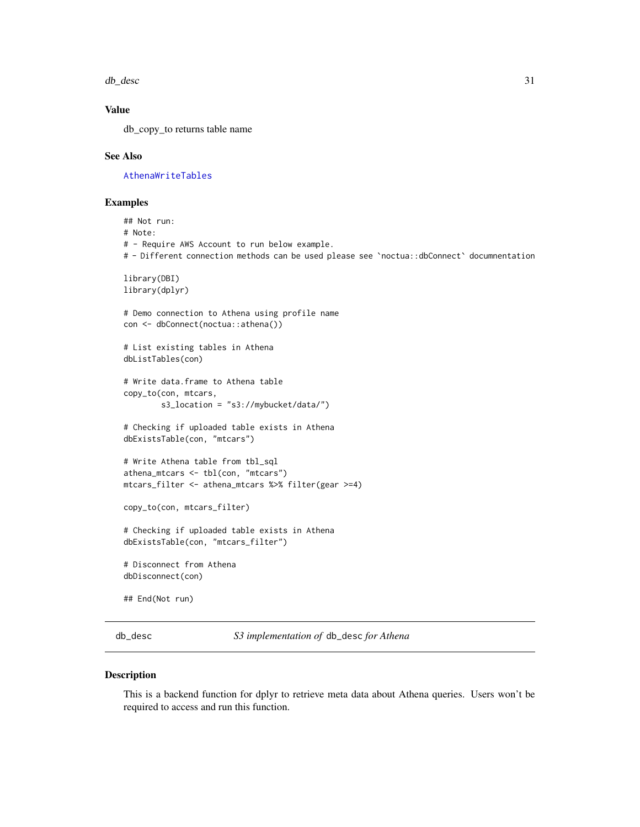<span id="page-30-0"></span>db\_desc 31

# Value

db\_copy\_to returns table name

#### See Also

[AthenaWriteTables](#page-4-1)

#### Examples

```
## Not run:
# Note:
# - Require AWS Account to run below example.
# - Different connection methods can be used please see `noctua::dbConnect` documnentation
library(DBI)
library(dplyr)
# Demo connection to Athena using profile name
con <- dbConnect(noctua::athena())
# List existing tables in Athena
dbListTables(con)
# Write data.frame to Athena table
copy_to(con, mtcars,
        s3_location = "s3://mybucket/data/")
# Checking if uploaded table exists in Athena
dbExistsTable(con, "mtcars")
# Write Athena table from tbl_sql
athena_mtcars <- tbl(con, "mtcars")
mtcars_filter <- athena_mtcars %>% filter(gear >=4)
copy_to(con, mtcars_filter)
# Checking if uploaded table exists in Athena
dbExistsTable(con, "mtcars_filter")
# Disconnect from Athena
dbDisconnect(con)
## End(Not run)
```
db\_desc *S3 implementation of* db\_desc *for Athena*

#### Description

This is a backend function for dplyr to retrieve meta data about Athena queries. Users won't be required to access and run this function.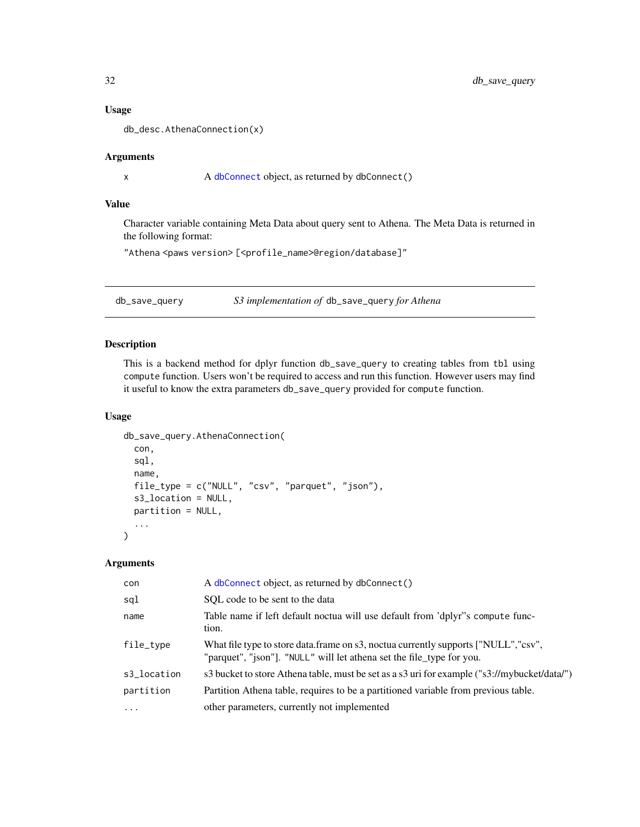# <span id="page-31-0"></span>Usage

db\_desc.AthenaConnection(x)

#### Arguments

x A [dbConnect](#page-9-1) object, as returned by dbConnect()

#### Value

Character variable containing Meta Data about query sent to Athena. The Meta Data is returned in the following format:

"Athena <paws version> [<profile\_name>@region/database]"

<span id="page-31-1"></span>db\_save\_query *S3 implementation of* db\_save\_query *for Athena*

# Description

This is a backend method for dplyr function db\_save\_query to creating tables from tbl using compute function. Users won't be required to access and run this function. However users may find it useful to know the extra parameters db\_save\_query provided for compute function.

#### Usage

```
db_save_query.AthenaConnection(
  con,
  sql,
 name,
 file_type = c("NULL", "csv", "parquet", "json"),
 s3_location = NULL,
 partition = NULL,
  ...
)
```

| con         | A dbConnect object, as returned by dbConnect()                                                                                                              |
|-------------|-------------------------------------------------------------------------------------------------------------------------------------------------------------|
| sql         | SOL code to be sent to the data                                                                                                                             |
| name        | Table name if left default noctua will use default from 'dplyr''s compute func-<br>tion.                                                                    |
| file_type   | What file type to store data.frame on s3, noctua currently supports ["NULL","csv",<br>"parquet", "json"]. "NULL" will let athena set the file_type for you. |
| s3_location | s3 bucket to store Athena table, must be set as a s3 uri for example ("s3://mybucket/data/")                                                                |
| partition   | Partition Athena table, requires to be a partitioned variable from previous table.                                                                          |
| $\cdot$     | other parameters, currently not implemented                                                                                                                 |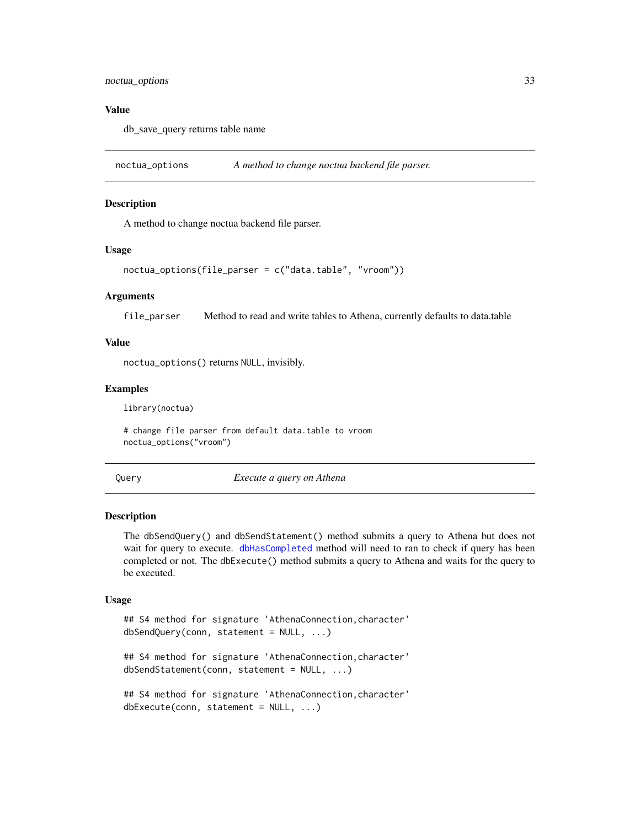# <span id="page-32-0"></span>noctua\_options 33

# Value

db\_save\_query returns table name

noctua\_options *A method to change noctua backend file parser.*

#### Description

A method to change noctua backend file parser.

#### Usage

```
noctua_options(file_parser = c("data.table", "vroom"))
```
#### Arguments

file\_parser Method to read and write tables to Athena, currently defaults to data.table

# Value

noctua\_options() returns NULL, invisibly.

#### Examples

library(noctua)

# change file parser from default data.table to vroom noctua\_options("vroom")

Query *Execute a query on Athena*

#### Description

The dbSendQuery() and dbSendStatement() method submits a query to Athena but does not wait for query to execute. [dbHasCompleted](#page-20-1) method will need to ran to check if query has been completed or not. The dbExecute() method submits a query to Athena and waits for the query to be executed.

#### Usage

```
## S4 method for signature 'AthenaConnection,character'
dbSendQuery(conn, statement = NULL, ...)
## S4 method for signature 'AthenaConnection,character'
dbSendStatement(conn, statement = NULL, ...)
## S4 method for signature 'AthenaConnection,character'
dbExecute(conn, statement = NULL, ...)
```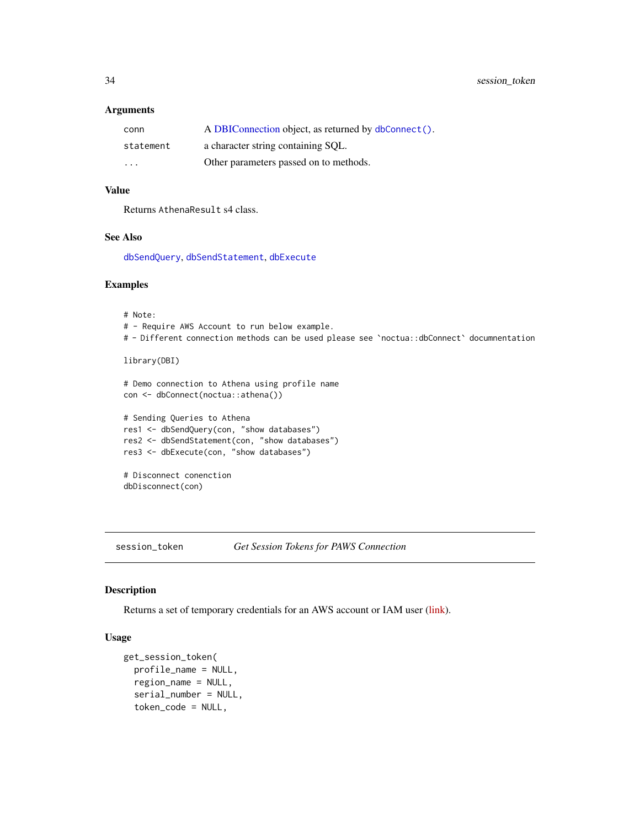# <span id="page-33-0"></span>Arguments

| conn      | A DBIConnection object, as returned by dbConnect(). |  |  |  |
|-----------|-----------------------------------------------------|--|--|--|
| statement | a character string containing SOL.                  |  |  |  |
| .         | Other parameters passed on to methods.              |  |  |  |

# Value

Returns AthenaResult s4 class.

# See Also

[dbSendQuery](#page-0-0), [dbSendStatement](#page-0-0), [dbExecute](#page-0-0)

# Examples

# Note:

- # Require AWS Account to run below example.
- # Different connection methods can be used please see `noctua::dbConnect` documnentation

library(DBI)

```
# Demo connection to Athena using profile name
con <- dbConnect(noctua::athena())
```

```
# Sending Queries to Athena
res1 <- dbSendQuery(con, "show databases")
res2 <- dbSendStatement(con, "show databases")
res3 <- dbExecute(con, "show databases")
```
# Disconnect conenction dbDisconnect(con)

# session\_token *Get Session Tokens for PAWS Connection*

#### Description

Returns a set of temporary credentials for an AWS account or IAM user [\(link\)](https://paws-r.github.io/docs/sts/get_session_token.html).

# Usage

```
get_session_token(
  profile_name = NULL,
  region_name = NULL,
  serial_number = NULL,
  token_code = NULL,
```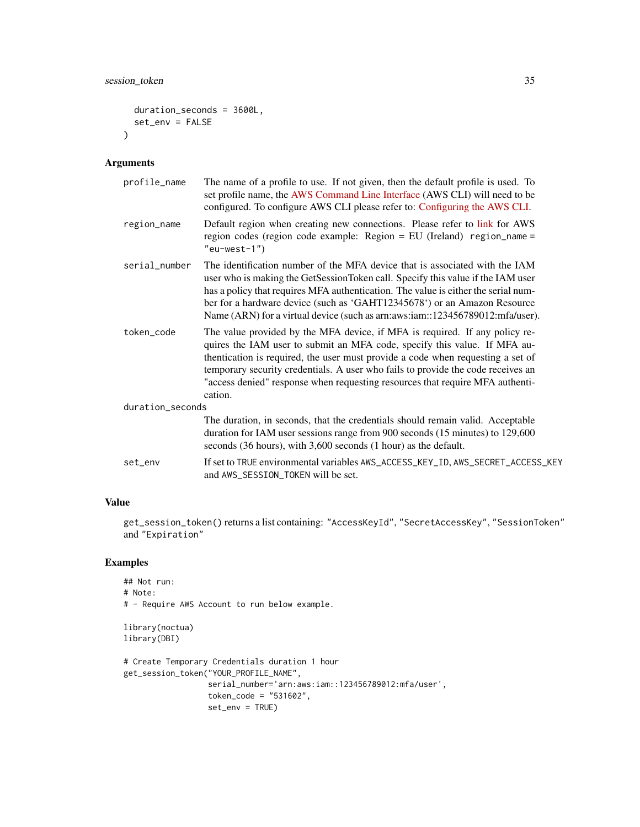```
duration_seconds = 3600L,
  set_env = FALSE
\lambda
```
# Arguments

| profile_name     | The name of a profile to use. If not given, then the default profile is used. To<br>set profile name, the AWS Command Line Interface (AWS CLI) will need to be<br>configured. To configure AWS CLI please refer to: Configuring the AWS CLI.                                                                                                                                                                                |
|------------------|-----------------------------------------------------------------------------------------------------------------------------------------------------------------------------------------------------------------------------------------------------------------------------------------------------------------------------------------------------------------------------------------------------------------------------|
| region_name      | Default region when creating new connections. Please refer to link for AWS<br>region codes (region code example: Region = EU (Ireland) region_name =<br>" $eu$ -west-1")                                                                                                                                                                                                                                                    |
| serial_number    | The identification number of the MFA device that is associated with the IAM<br>user who is making the GetSessionToken call. Specify this value if the IAM user<br>has a policy that requires MFA authentication. The value is either the serial num-<br>ber for a hardware device (such as 'GAHT12345678') or an Amazon Resource<br>Name (ARN) for a virtual device (such as arn:aws:iam::123456789012:mfa/user).           |
| token_code       | The value provided by the MFA device, if MFA is required. If any policy re-<br>quires the IAM user to submit an MFA code, specify this value. If MFA au-<br>thentication is required, the user must provide a code when requesting a set of<br>temporary security credentials. A user who fails to provide the code receives an<br>"access denied" response when requesting resources that require MFA authenti-<br>cation. |
| duration_seconds |                                                                                                                                                                                                                                                                                                                                                                                                                             |
|                  | The duration, in seconds, that the credentials should remain valid. Acceptable<br>duration for IAM user sessions range from 900 seconds (15 minutes) to 129,600<br>seconds (36 hours), with 3,600 seconds (1 hour) as the default.                                                                                                                                                                                          |
| set_env          | If set to TRUE environmental variables AWS_ACCESS_KEY_ID, AWS_SECRET_ACCESS_KEY<br>and AWS_SESSION_TOKEN will be set.                                                                                                                                                                                                                                                                                                       |

# Value

get\_session\_token() returns a list containing: "AccessKeyId", "SecretAccessKey", "SessionToken" and "Expiration"

# Examples

```
## Not run:
# Note:
# - Require AWS Account to run below example.
library(noctua)
library(DBI)
# Create Temporary Credentials duration 1 hour
get_session_token("YOUR_PROFILE_NAME",
                 serial_number='arn:aws:iam::123456789012:mfa/user',
                 token_code = "531602",
                 set_env = TRUE)
```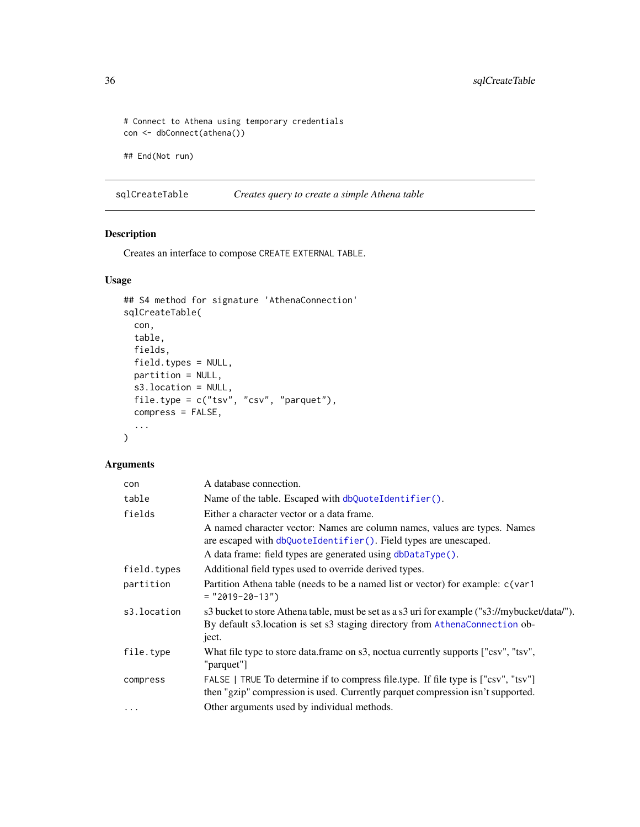```
# Connect to Athena using temporary credentials
con <- dbConnect(athena())
```
## End(Not run)

<span id="page-35-1"></span>sqlCreateTable *Creates query to create a simple Athena table*

# Description

Creates an interface to compose CREATE EXTERNAL TABLE.

# Usage

```
## S4 method for signature 'AthenaConnection'
sqlCreateTable(
 con,
 table,
 fields,
 field.types = NULL,
 partition = NULL,
 s3.location = NULL,
 file.type = c("tsv", "csv", "parquet"),
  compress = FALSE,
  ...
)
```

| con         | A database connection.                                                                                                                                                                 |  |  |  |  |
|-------------|----------------------------------------------------------------------------------------------------------------------------------------------------------------------------------------|--|--|--|--|
| table       | Name of the table. Escaped with dbQuoteIdentifier().                                                                                                                                   |  |  |  |  |
| fields      | Either a character vector or a data frame.                                                                                                                                             |  |  |  |  |
|             | A named character vector: Names are column names, values are types. Names<br>are escaped with dbQuoteIdentifier(). Field types are unescaped.                                          |  |  |  |  |
|             | A data frame: field types are generated using dbDataType().                                                                                                                            |  |  |  |  |
| field.types | Additional field types used to override derived types.                                                                                                                                 |  |  |  |  |
| partition   | Partition Athena table (needs to be a named list or vector) for example: c(var1<br>$=$ "2019-20-13")                                                                                   |  |  |  |  |
| s3.location | s3 bucket to store Athena table, must be set as a s3 uri for example ("s3://mybucket/data/").<br>By default s3.location is set s3 staging directory from AthenaConnection ob-<br>ject. |  |  |  |  |
| file.type   | What file type to store data.frame on s3, noctua currently supports ["csv", "tsv",<br>"parquet"]                                                                                       |  |  |  |  |
| compress    | FALSE   TRUE To determine if to compress file.type. If file type is ["csv", "tsv"]<br>then "gzip" compression is used. Currently parquet compression isn't supported.                  |  |  |  |  |
| $\ddotsc$   | Other arguments used by individual methods.                                                                                                                                            |  |  |  |  |

<span id="page-35-0"></span>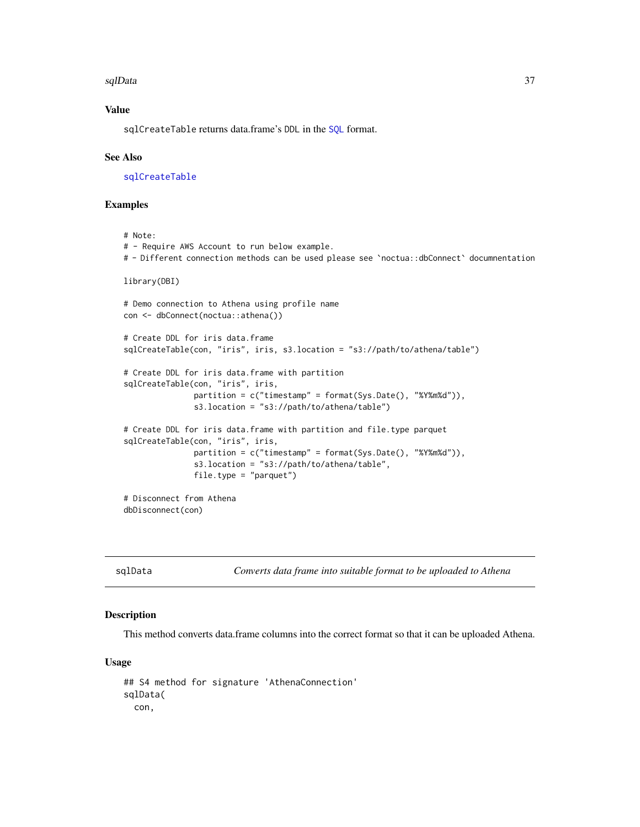#### <span id="page-36-0"></span>sqlData 37

# Value

sqlCreateTable returns data.frame's DDL in the [SQL](#page-0-0) format.

#### See Also

[sqlCreateTable](#page-35-1)

# Examples

```
# Note:
# - Require AWS Account to run below example.
# - Different connection methods can be used please see `noctua::dbConnect` documnentation
library(DBI)
# Demo connection to Athena using profile name
con <- dbConnect(noctua::athena())
# Create DDL for iris data.frame
sqlCreateTable(con, "iris", iris, s3.location = "s3://path/to/athena/table")
# Create DDL for iris data.frame with partition
sqlCreateTable(con, "iris", iris,
               partition = c("timestamp" = format(Sys.Date(), "%Y%m%d")),
               s3.location = "s3://path/to/athena/table")
# Create DDL for iris data.frame with partition and file.type parquet
sqlCreateTable(con, "iris", iris,
               partition = c("timestamp" = format(Sys.Date(), "%Y%m%d")),
               s3.location = "s3://path/to/athena/table",
               file.type = "parquet")
# Disconnect from Athena
dbDisconnect(con)
```
<span id="page-36-1"></span>sqlData *Converts data frame into suitable format to be uploaded to Athena*

#### Description

This method converts data.frame columns into the correct format so that it can be uploaded Athena.

#### Usage

```
## S4 method for signature 'AthenaConnection'
sqlData(
 con,
```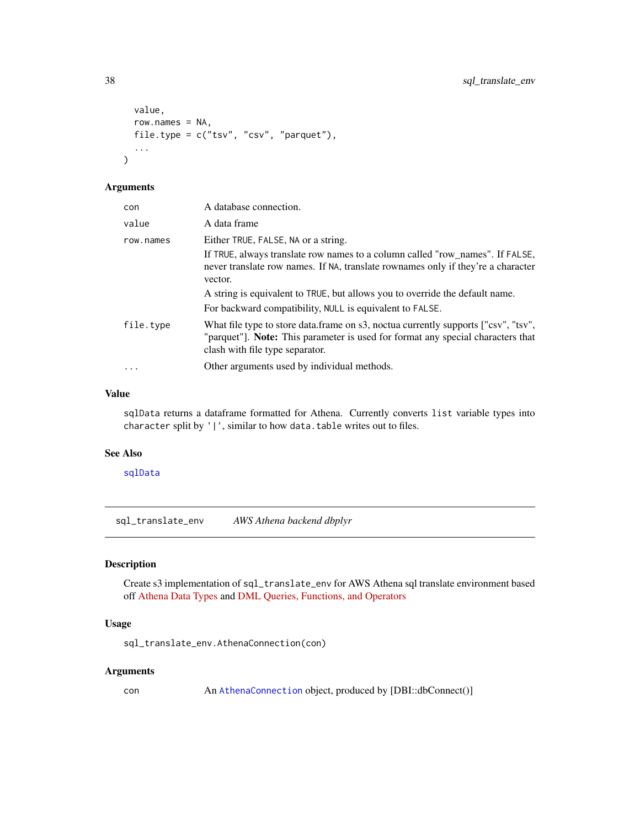```
value,
 row.names = NA,
 file.type = c("tsv", "csv", "parquet"),
  ...
)
```
#### Arguments

| con       | A database connection.                                                                                                                                                                                                                                                                              |  |  |
|-----------|-----------------------------------------------------------------------------------------------------------------------------------------------------------------------------------------------------------------------------------------------------------------------------------------------------|--|--|
| value     | A data frame                                                                                                                                                                                                                                                                                        |  |  |
| row.names | Either TRUE, FALSE, NA or a string.<br>If TRUE, always translate row names to a column called "row_names". If FALSE,<br>never translate row names. If NA, translate rownames only if they're a character<br>vector.<br>A string is equivalent to TRUE, but allows you to override the default name. |  |  |
|           | For backward compatibility, NULL is equivalent to FALSE.                                                                                                                                                                                                                                            |  |  |
| file.type | What file type to store data.frame on s3, noctua currently supports ["csv", "tsv",<br>"parquet"]. Note: This parameter is used for format any special characters that<br>clash with file type separator.                                                                                            |  |  |
| $\ddots$  | Other arguments used by individual methods.                                                                                                                                                                                                                                                         |  |  |
|           |                                                                                                                                                                                                                                                                                                     |  |  |

#### Value

sqlData returns a dataframe formatted for Athena. Currently converts list variable types into character split by '|', similar to how data.table writes out to files.

# See Also

[sqlData](#page-36-1)

sql\_translate\_env *AWS Athena backend dbplyr*

# Description

Create s3 implementation of sql\_translate\_env for AWS Athena sql translate environment based off [Athena Data Types](https://docs.aws.amazon.com/athena/latest/ug/data-types.html) and [DML Queries, Functions, and Operators](https://docs.aws.amazon.com/athena/latest/ug/functions-operators-reference-section.html)

# Usage

sql\_translate\_env.AthenaConnection(con)

# Arguments

con An [AthenaConnection](#page-0-0) object, produced by [DBI::dbConnect()]

<span id="page-37-0"></span>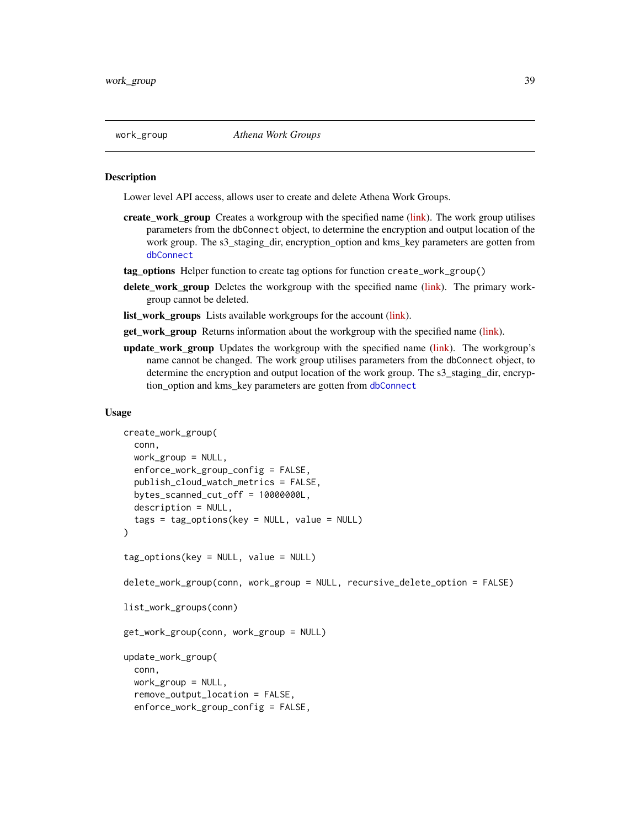<span id="page-38-0"></span>

#### Description

Lower level API access, allows user to create and delete Athena Work Groups.

- create\_work\_group Creates a workgroup with the specified name [\(link\)](https://paws-r.github.io/docs/athena/create_work_group.html). The work group utilises parameters from the dbConnect object, to determine the encryption and output location of the work group. The s3\_staging\_dir, encryption\_option and kms\_key parameters are gotten from [dbConnect](#page-9-1)
- tag\_options Helper function to create tag options for function create\_work\_group()
- delete\_work\_group Deletes the workgroup with the specified name [\(link\)](https://paws-r.github.io/docs/athena/delete_work_group.html). The primary workgroup cannot be deleted.
- list\_work\_groups Lists available workgroups for the account [\(link\)](https://paws-r.github.io/docs/athena/list_work_groups.html).
- get\_work\_group Returns information about the workgroup with the specified name [\(link\)](https://paws-r.github.io/docs/athena/get_work_group.html).
- update\_work\_group Updates the workgroup with the specified name [\(link\)](https://paws-r.github.io/docs/athena/update_work_group.html). The workgroup's name cannot be changed. The work group utilises parameters from the dbConnect object, to determine the encryption and output location of the work group. The s3\_staging\_dir, encryption\_option and kms\_key parameters are gotten from [dbConnect](#page-9-1)

#### Usage

```
create_work_group(
  conn,
  work_group = NULL,
  enforce_work_group_config = FALSE,
  publish_cloud_watch_metrics = FALSE,
  bytes_scanned_cut_off = 10000000L,
  description = NULL,
  tags = tag_options(key = NULL, value = NULL)
)
tag_options(key = NULL, value = NULL)
delete_work_group(conn, work_group = NULL, recursive_delete_option = FALSE)
list_work_groups(conn)
get_work_group(conn, work_group = NULL)
update_work_group(
  conn,
  work_group = NULL,
  remove_output_location = FALSE,
  enforce_work_group_config = FALSE,
```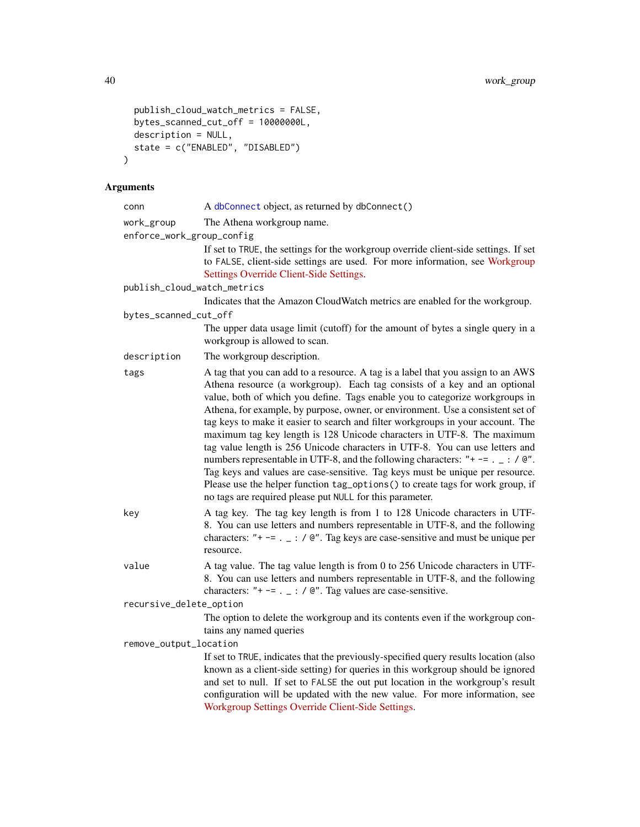```
publish_cloud_watch_metrics = FALSE,
 bytes_scanned_cut_off = 10000000L,
 description = NULL,state = c("ENABLED", "DISABLED")
\mathcal{L}
```

| conn                        | A dbConnect object, as returned by dbConnect()                                                                                                                                                                                                                                                                                                                                                                                                                                                                                                                                                                                                                                                                                                                                                                                                                                                       |  |  |  |  |
|-----------------------------|------------------------------------------------------------------------------------------------------------------------------------------------------------------------------------------------------------------------------------------------------------------------------------------------------------------------------------------------------------------------------------------------------------------------------------------------------------------------------------------------------------------------------------------------------------------------------------------------------------------------------------------------------------------------------------------------------------------------------------------------------------------------------------------------------------------------------------------------------------------------------------------------------|--|--|--|--|
| work_group                  | The Athena workgroup name.                                                                                                                                                                                                                                                                                                                                                                                                                                                                                                                                                                                                                                                                                                                                                                                                                                                                           |  |  |  |  |
| enforce_work_group_config   |                                                                                                                                                                                                                                                                                                                                                                                                                                                                                                                                                                                                                                                                                                                                                                                                                                                                                                      |  |  |  |  |
|                             | If set to TRUE, the settings for the workgroup override client-side settings. If set<br>to FALSE, client-side settings are used. For more information, see Workgroup<br>Settings Override Client-Side Settings.                                                                                                                                                                                                                                                                                                                                                                                                                                                                                                                                                                                                                                                                                      |  |  |  |  |
| publish_cloud_watch_metrics |                                                                                                                                                                                                                                                                                                                                                                                                                                                                                                                                                                                                                                                                                                                                                                                                                                                                                                      |  |  |  |  |
|                             | Indicates that the Amazon CloudWatch metrics are enabled for the workgroup.                                                                                                                                                                                                                                                                                                                                                                                                                                                                                                                                                                                                                                                                                                                                                                                                                          |  |  |  |  |
| bytes_scanned_cut_off       |                                                                                                                                                                                                                                                                                                                                                                                                                                                                                                                                                                                                                                                                                                                                                                                                                                                                                                      |  |  |  |  |
|                             | The upper data usage limit (cutoff) for the amount of bytes a single query in a<br>workgroup is allowed to scan.                                                                                                                                                                                                                                                                                                                                                                                                                                                                                                                                                                                                                                                                                                                                                                                     |  |  |  |  |
| description                 | The workgroup description.                                                                                                                                                                                                                                                                                                                                                                                                                                                                                                                                                                                                                                                                                                                                                                                                                                                                           |  |  |  |  |
| tags                        | A tag that you can add to a resource. A tag is a label that you assign to an AWS<br>Athena resource (a workgroup). Each tag consists of a key and an optional<br>value, both of which you define. Tags enable you to categorize workgroups in<br>Athena, for example, by purpose, owner, or environment. Use a consistent set of<br>tag keys to make it easier to search and filter workgroups in your account. The<br>maximum tag key length is 128 Unicode characters in UTF-8. The maximum<br>tag value length is 256 Unicode characters in UTF-8. You can use letters and<br>numbers representable in UTF-8, and the following characters: "+ -= $\ldots$ : / @".<br>Tag keys and values are case-sensitive. Tag keys must be unique per resource.<br>Please use the helper function tag_options() to create tags for work group, if<br>no tags are required please put NULL for this parameter. |  |  |  |  |
| key                         | A tag key. The tag key length is from 1 to 128 Unicode characters in UTF-<br>8. You can use letters and numbers representable in UTF-8, and the following<br>characters: "+ -= $\ldots$ : / @". Tag keys are case-sensitive and must be unique per<br>resource.                                                                                                                                                                                                                                                                                                                                                                                                                                                                                                                                                                                                                                      |  |  |  |  |
| value                       | A tag value. The tag value length is from 0 to 256 Unicode characters in UTF-<br>8. You can use letters and numbers representable in UTF-8, and the following<br>characters: "+ -= . $\angle$ : / @". Tag values are case-sensitive.                                                                                                                                                                                                                                                                                                                                                                                                                                                                                                                                                                                                                                                                 |  |  |  |  |
| recursive_delete_option     |                                                                                                                                                                                                                                                                                                                                                                                                                                                                                                                                                                                                                                                                                                                                                                                                                                                                                                      |  |  |  |  |
|                             | The option to delete the workgroup and its contents even if the workgroup con-                                                                                                                                                                                                                                                                                                                                                                                                                                                                                                                                                                                                                                                                                                                                                                                                                       |  |  |  |  |
|                             | tains any named queries                                                                                                                                                                                                                                                                                                                                                                                                                                                                                                                                                                                                                                                                                                                                                                                                                                                                              |  |  |  |  |
| remove_output_location      |                                                                                                                                                                                                                                                                                                                                                                                                                                                                                                                                                                                                                                                                                                                                                                                                                                                                                                      |  |  |  |  |
|                             | If set to TRUE, indicates that the previously-specified query results location (also<br>known as a client-side setting) for queries in this workgroup should be ignored<br>and set to null. If set to FALSE the out put location in the workgroup's result<br>configuration will be updated with the new value. For more information, see<br>Workgroup Settings Override Client-Side Settings.                                                                                                                                                                                                                                                                                                                                                                                                                                                                                                       |  |  |  |  |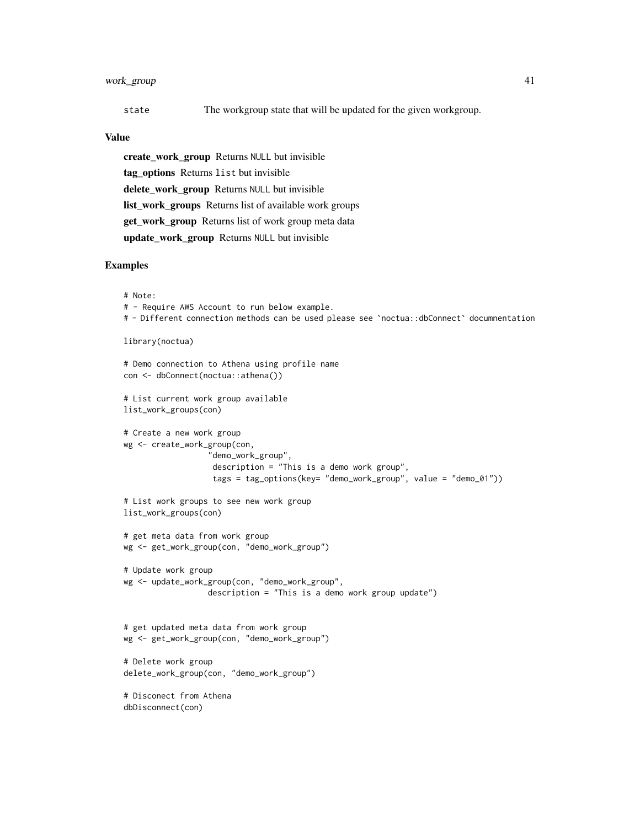# work\_group 41

| state | The workgroup state that will be updated for the given workgroup. |  |  |  |
|-------|-------------------------------------------------------------------|--|--|--|
|       |                                                                   |  |  |  |

#### Value

create work group Returns NULL but invisible tag\_options Returns list but invisible delete\_work\_group Returns NULL but invisible list\_work\_groups Returns list of available work groups get\_work\_group Returns list of work group meta data update\_work\_group Returns NULL but invisible

# Examples

```
# Note:
# - Require AWS Account to run below example.
# - Different connection methods can be used please see `noctua::dbConnect` documnentation
library(noctua)
# Demo connection to Athena using profile name
con <- dbConnect(noctua::athena())
# List current work group available
list_work_groups(con)
# Create a new work group
wg <- create_work_group(con,
                  "demo_work_group",
                   description = "This is a demo work group",
                   tags = tag_options(key= "demo_work_group", value = "demo_01"))
# List work groups to see new work group
list_work_groups(con)
# get meta data from work group
wg <- get_work_group(con, "demo_work_group")
# Update work group
wg <- update_work_group(con, "demo_work_group",
                  description = "This is a demo work group update")
# get updated meta data from work group
wg <- get_work_group(con, "demo_work_group")
# Delete work group
delete_work_group(con, "demo_work_group")
# Disconect from Athena
dbDisconnect(con)
```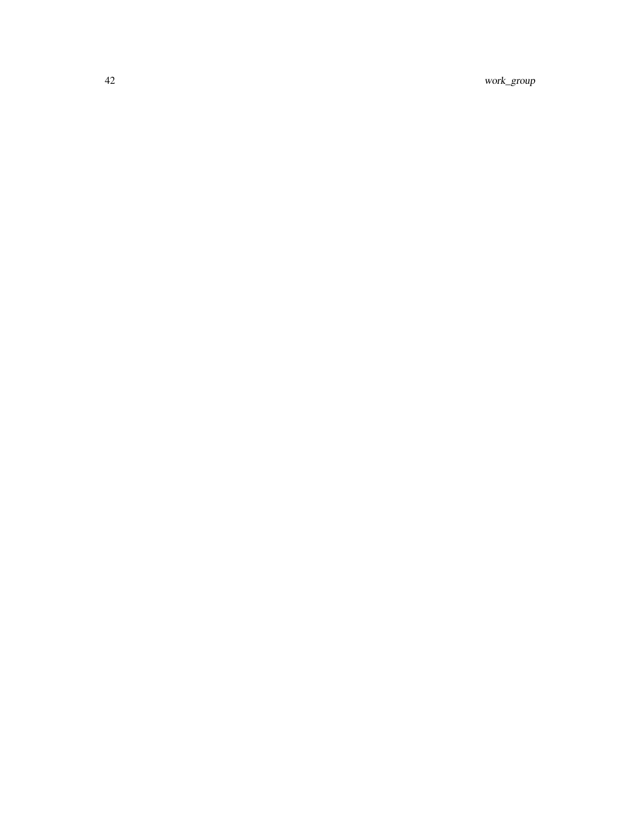work\_group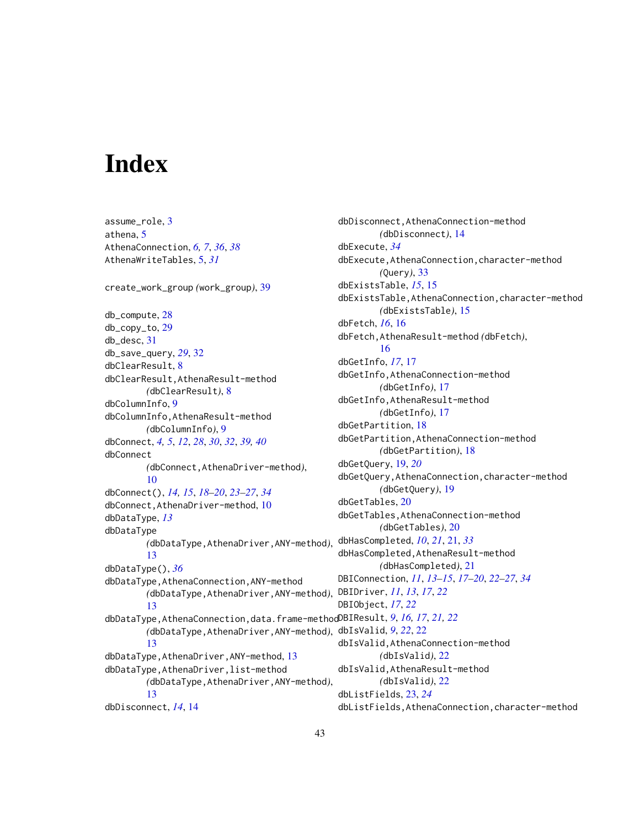# <span id="page-42-0"></span>Index

assume\_role, [3](#page-2-0) athena, [5](#page-4-0) AthenaConnection, *[6,](#page-5-0) [7](#page-6-0)*, *[36](#page-35-0)*, *[38](#page-37-0)* AthenaWriteTables, [5,](#page-4-0) *[31](#page-30-0)* create\_work\_group *(*work\_group*)*, [39](#page-38-0) db\_compute, [28](#page-27-0) db\_copy\_to, [29](#page-28-0) db\_desc, [31](#page-30-0) db\_save\_query, *[29](#page-28-0)*, [32](#page-31-0) dbClearResult, [8](#page-7-0) dbClearResult,AthenaResult-method *(*dbClearResult*)*, [8](#page-7-0) dbColumnInfo, [9](#page-8-0) dbColumnInfo,AthenaResult-method *(*dbColumnInfo*)*, [9](#page-8-0) dbConnect, *[4,](#page-3-0) [5](#page-4-0)*, *[12](#page-11-0)*, *[28](#page-27-0)*, *[30](#page-29-0)*, *[32](#page-31-0)*, *[39,](#page-38-0) [40](#page-39-0)* dbConnect *(*dbConnect,AthenaDriver-method*)*, [10](#page-9-0) dbConnect(), *[14,](#page-13-0) [15](#page-14-0)*, *[18–](#page-17-0)[20](#page-19-0)*, *[23–](#page-22-0)[27](#page-26-0)*, *[34](#page-33-0)* dbConnect,AthenaDriver-method, [10](#page-9-0) dbDataType, *[13](#page-12-0)* dbDataType *(*dbDataType,AthenaDriver,ANY-method*)*, [13](#page-12-0) dbDataType(), *[36](#page-35-0)* dbDataType,AthenaConnection,ANY-method *(*dbDataType,AthenaDriver,ANY-method*)*, [13](#page-12-0) dbDataType,AthenaConnection,data.frame-method DBIResult, *[9](#page-8-0)*, *[16,](#page-15-0) [17](#page-16-0)*, *[21,](#page-20-0) [22](#page-21-0) (*dbDataType,AthenaDriver,ANY-method*)*, dbIsValid, *[9](#page-8-0)*, *[22](#page-21-0)*, [22](#page-21-0) [13](#page-12-0) dbDataType,AthenaDriver,ANY-method, [13](#page-12-0) dbDataType,AthenaDriver,list-method *(*dbDataType,AthenaDriver,ANY-method*)*, [13](#page-12-0) dbDisconnect, *[14](#page-13-0)*, [14](#page-13-0)

dbDisconnect,AthenaConnection-method *(*dbDisconnect*)*, [14](#page-13-0) dbExecute, *[34](#page-33-0)* dbExecute,AthenaConnection,character-method *(*Query*)*, [33](#page-32-0) dbExistsTable, *[15](#page-14-0)*, [15](#page-14-0) dbExistsTable,AthenaConnection,character-method *(*dbExistsTable*)*, [15](#page-14-0) dbFetch, *[16](#page-15-0)*, [16](#page-15-0) dbFetch,AthenaResult-method *(*dbFetch*)*, [16](#page-15-0) dbGetInfo, *[17](#page-16-0)*, [17](#page-16-0) dbGetInfo,AthenaConnection-method *(*dbGetInfo*)*, [17](#page-16-0) dbGetInfo,AthenaResult-method *(*dbGetInfo*)*, [17](#page-16-0) dbGetPartition, [18](#page-17-0) dbGetPartition,AthenaConnection-method *(*dbGetPartition*)*, [18](#page-17-0) dbGetQuery, [19,](#page-18-0) *[20](#page-19-0)* dbGetQuery,AthenaConnection,character-method *(*dbGetQuery*)*, [19](#page-18-0) dbGetTables, [20](#page-19-0) dbGetTables,AthenaConnection-method *(*dbGetTables*)*, [20](#page-19-0) dbHasCompleted, *[10](#page-9-0)*, *[21](#page-20-0)*, [21,](#page-20-0) *[33](#page-32-0)* dbHasCompleted,AthenaResult-method *(*dbHasCompleted*)*, [21](#page-20-0) DBIConnection, *[11](#page-10-0)*, *[13](#page-12-0)[–15](#page-14-0)*, *[17](#page-16-0)[–20](#page-19-0)*, *[22](#page-21-0)[–27](#page-26-0)*, *[34](#page-33-0)* DBIDriver, *[11](#page-10-0)*, *[13](#page-12-0)*, *[17](#page-16-0)*, *[22](#page-21-0)* DBIObject, *[17](#page-16-0)*, *[22](#page-21-0)* dbIsValid,AthenaConnection-method *(*dbIsValid*)*, [22](#page-21-0) dbIsValid,AthenaResult-method *(*dbIsValid*)*, [22](#page-21-0) dbListFields, [23,](#page-22-0) *[24](#page-23-0)* dbListFields,AthenaConnection,character-method